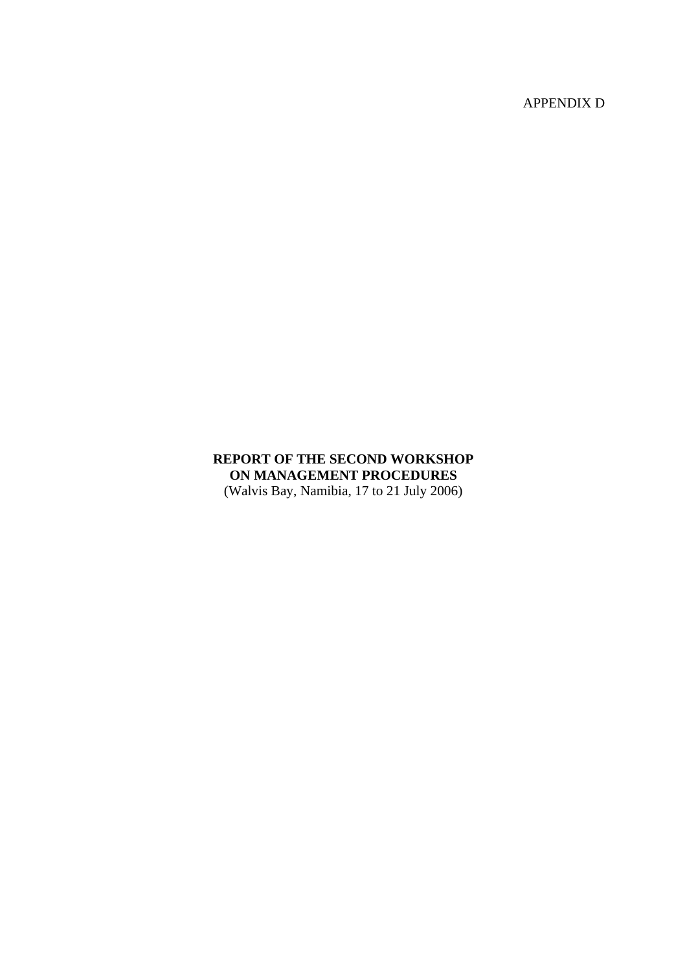APPENDIX D

# **REPORT OF THE SECOND WORKSHOP ON MANAGEMENT PROCEDURES**  (Walvis Bay, Namibia, 17 to 21 July 2006)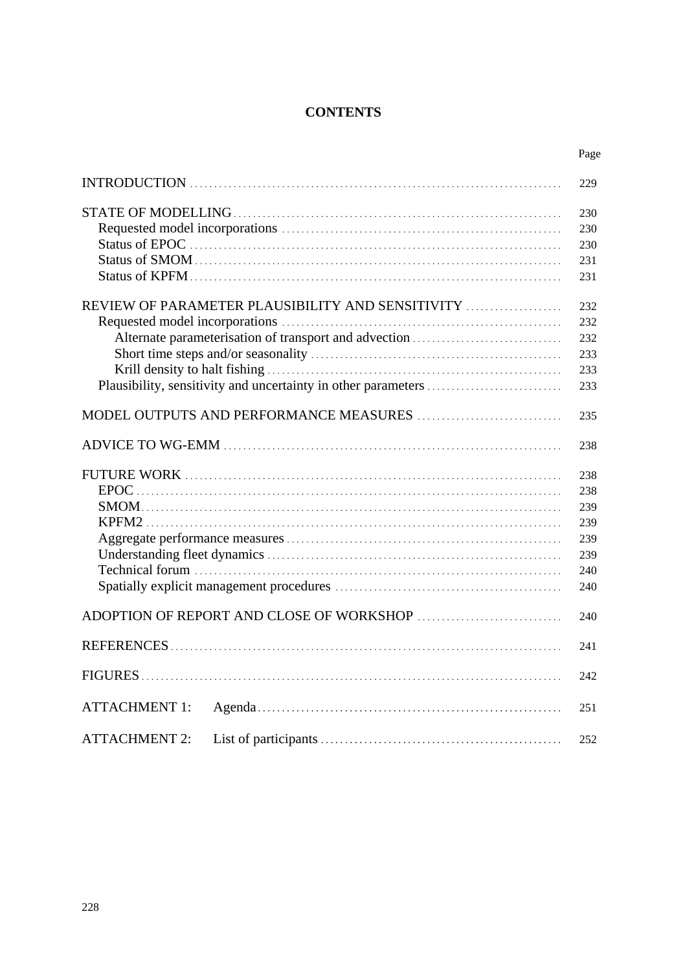# **CONTENTS**

|                                                  | Page |
|--------------------------------------------------|------|
|                                                  | 229  |
|                                                  | 230  |
|                                                  | 230  |
|                                                  | 230  |
|                                                  | 231  |
|                                                  | 231  |
| REVIEW OF PARAMETER PLAUSIBILITY AND SENSITIVITY | 232  |
|                                                  | 232  |
|                                                  | 232  |
|                                                  | 233  |
|                                                  | 233  |
|                                                  | 233  |
|                                                  | 235  |
|                                                  | 238  |
|                                                  | 238  |
|                                                  | 238  |
|                                                  | 239  |
|                                                  | 239  |
|                                                  | 239  |
|                                                  | 239  |
|                                                  | 240  |
|                                                  | 240  |
|                                                  | 240  |
|                                                  | 241  |
|                                                  | 242  |
| <b>ATTACHMENT 1:</b>                             | 251  |
|                                                  |      |
| <b>ATTACHMENT 2:</b>                             | 252  |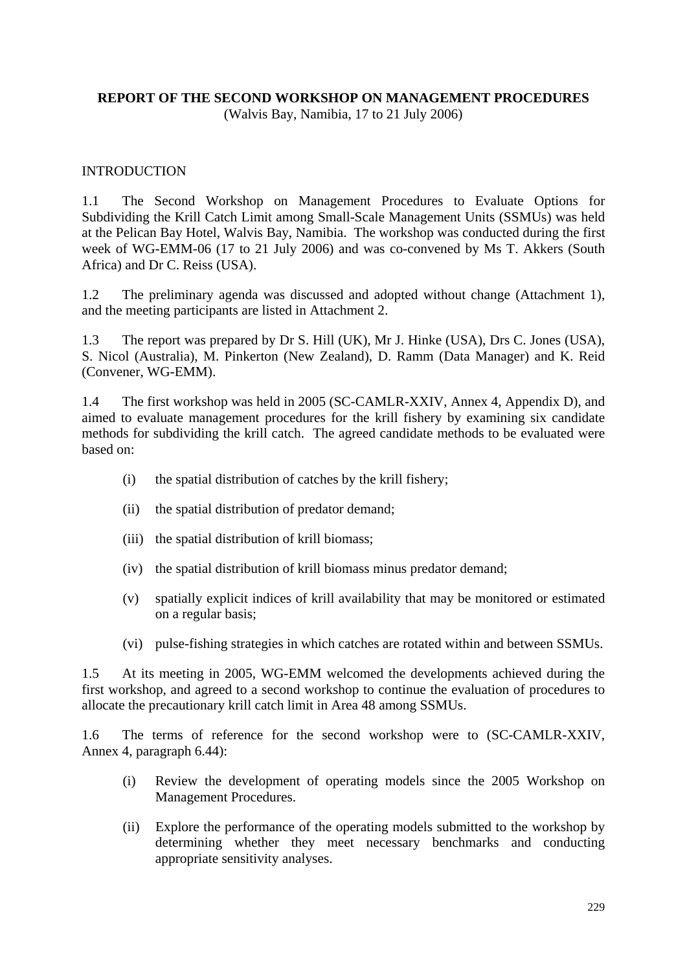### **REPORT OF THE SECOND WORKSHOP ON MANAGEMENT PROCEDURES**  (Walvis Bay, Namibia, 17 to 21 July 2006)

### INTRODUCTION

1.1 The Second Workshop on Management Procedures to Evaluate Options for Subdividing the Krill Catch Limit among Small-Scale Management Units (SSMUs) was held at the Pelican Bay Hotel, Walvis Bay, Namibia. The workshop was conducted during the first week of WG-EMM-06 (17 to 21 July 2006) and was co-convened by Ms T. Akkers (South Africa) and Dr C. Reiss (USA).

1.2 The preliminary agenda was discussed and adopted without change (Attachment 1), and the meeting participants are listed in Attachment 2.

1.3 The report was prepared by Dr S. Hill (UK), Mr J. Hinke (USA), Drs C. Jones (USA), S. Nicol (Australia), M. Pinkerton (New Zealand), D. Ramm (Data Manager) and K. Reid (Convener, WG-EMM).

1.4 The first workshop was held in 2005 (SC-CAMLR-XXIV, Annex 4, Appendix D), and aimed to evaluate management procedures for the krill fishery by examining six candidate methods for subdividing the krill catch. The agreed candidate methods to be evaluated were based on:

- (i) the spatial distribution of catches by the krill fishery;
- (ii) the spatial distribution of predator demand;
- (iii) the spatial distribution of krill biomass;
- (iv) the spatial distribution of krill biomass minus predator demand;
- (v) spatially explicit indices of krill availability that may be monitored or estimated on a regular basis;
- (vi) pulse-fishing strategies in which catches are rotated within and between SSMUs.

1.5 At its meeting in 2005, WG-EMM welcomed the developments achieved during the first workshop, and agreed to a second workshop to continue the evaluation of procedures to allocate the precautionary krill catch limit in Area 48 among SSMUs.

1.6 The terms of reference for the second workshop were to (SC-CAMLR-XXIV, Annex 4, paragraph 6.44):

- (i) Review the development of operating models since the 2005 Workshop on Management Procedures.
- (ii) Explore the performance of the operating models submitted to the workshop by determining whether they meet necessary benchmarks and conducting appropriate sensitivity analyses.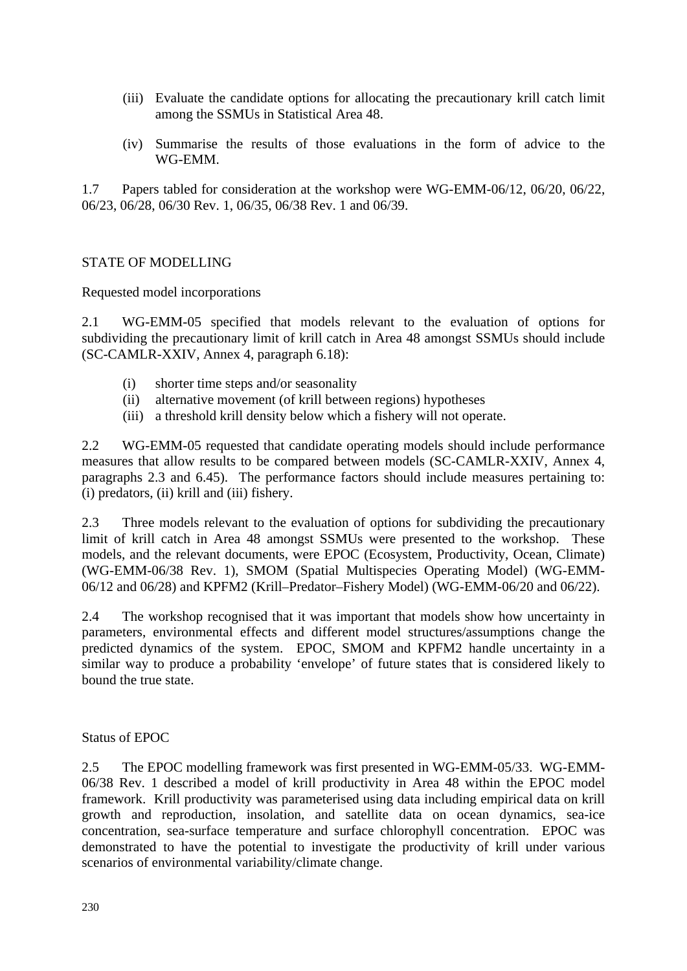- (iii) Evaluate the candidate options for allocating the precautionary krill catch limit among the SSMUs in Statistical Area 48.
- (iv) Summarise the results of those evaluations in the form of advice to the WG-EMM.

1.7 Papers tabled for consideration at the workshop were WG-EMM-06/12, 06/20, 06/22, 06/23, 06/28, 06/30 Rev. 1, 06/35, 06/38 Rev. 1 and 06/39.

#### STATE OF MODELLING

Requested model incorporations

2.1 WG-EMM-05 specified that models relevant to the evaluation of options for subdividing the precautionary limit of krill catch in Area 48 amongst SSMUs should include (SC-CAMLR-XXIV, Annex 4, paragraph 6.18):

- (i) shorter time steps and/or seasonality
- (ii) alternative movement (of krill between regions) hypotheses
- (iii) a threshold krill density below which a fishery will not operate.

2.2 WG-EMM-05 requested that candidate operating models should include performance measures that allow results to be compared between models (SC-CAMLR-XXIV, Annex 4, paragraphs 2.3 and 6.45). The performance factors should include measures pertaining to: (i) predators, (ii) krill and (iii) fishery.

2.3 Three models relevant to the evaluation of options for subdividing the precautionary limit of krill catch in Area 48 amongst SSMUs were presented to the workshop. These models, and the relevant documents, were EPOC (Ecosystem, Productivity, Ocean, Climate) (WG-EMM-06/38 Rev. 1), SMOM (Spatial Multispecies Operating Model) (WG-EMM-06/12 and 06/28) and KPFM2 (Krill–Predator–Fishery Model) (WG-EMM-06/20 and 06/22).

2.4 The workshop recognised that it was important that models show how uncertainty in parameters, environmental effects and different model structures/assumptions change the predicted dynamics of the system. EPOC, SMOM and KPFM2 handle uncertainty in a similar way to produce a probability 'envelope' of future states that is considered likely to bound the true state.

#### Status of EPOC

2.5 The EPOC modelling framework was first presented in WG-EMM-05/33. WG-EMM-06/38 Rev. 1 described a model of krill productivity in Area 48 within the EPOC model framework. Krill productivity was parameterised using data including empirical data on krill growth and reproduction, insolation, and satellite data on ocean dynamics, sea-ice concentration, sea-surface temperature and surface chlorophyll concentration. EPOC was demonstrated to have the potential to investigate the productivity of krill under various scenarios of environmental variability/climate change.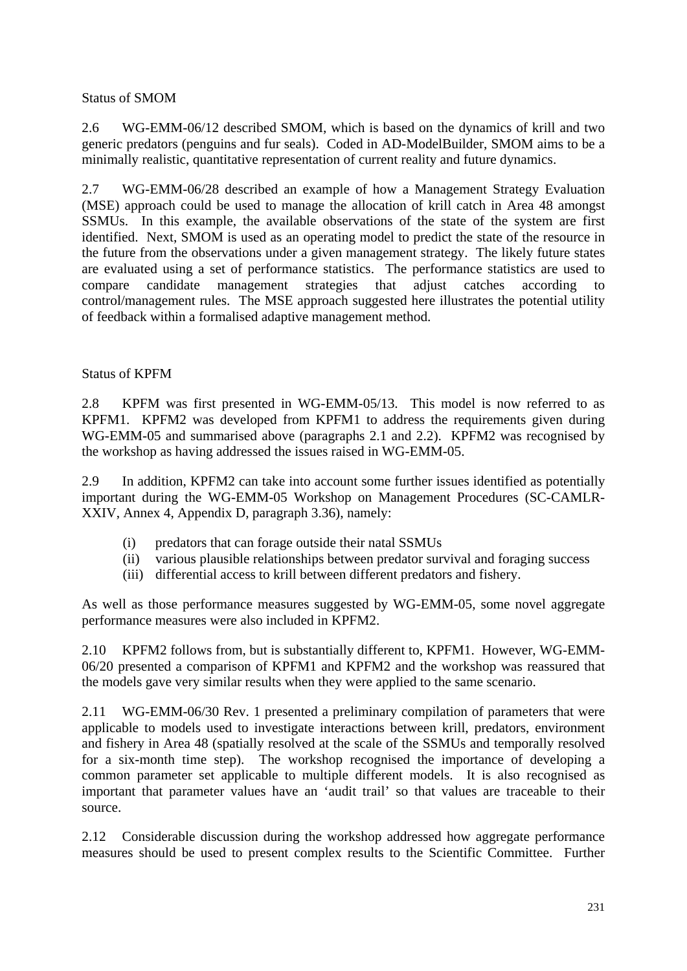# Status of SMOM

2.6 WG-EMM-06/12 described SMOM, which is based on the dynamics of krill and two generic predators (penguins and fur seals). Coded in AD-ModelBuilder, SMOM aims to be a minimally realistic, quantitative representation of current reality and future dynamics.

2.7 WG-EMM-06/28 described an example of how a Management Strategy Evaluation (MSE) approach could be used to manage the allocation of krill catch in Area 48 amongst SSMUs. In this example, the available observations of the state of the system are first identified. Next, SMOM is used as an operating model to predict the state of the resource in the future from the observations under a given management strategy. The likely future states are evaluated using a set of performance statistics. The performance statistics are used to compare candidate management strategies that adjust catches according to control/management rules. The MSE approach suggested here illustrates the potential utility of feedback within a formalised adaptive management method.

# Status of KPFM

2.8 KPFM was first presented in WG-EMM-05/13. This model is now referred to as KPFM1. KPFM2 was developed from KPFM1 to address the requirements given during WG-EMM-05 and summarised above (paragraphs 2.1 and 2.2). KPFM2 was recognised by the workshop as having addressed the issues raised in WG-EMM-05.

2.9 In addition, KPFM2 can take into account some further issues identified as potentially important during the WG-EMM-05 Workshop on Management Procedures (SC-CAMLR-XXIV, Annex 4, Appendix D, paragraph 3.36), namely:

- (i) predators that can forage outside their natal SSMUs
- (ii) various plausible relationships between predator survival and foraging success
- (iii) differential access to krill between different predators and fishery.

As well as those performance measures suggested by WG-EMM-05, some novel aggregate performance measures were also included in KPFM2.

2.10 KPFM2 follows from, but is substantially different to, KPFM1. However, WG-EMM-06/20 presented a comparison of KPFM1 and KPFM2 and the workshop was reassured that the models gave very similar results when they were applied to the same scenario.

2.11 WG-EMM-06/30 Rev. 1 presented a preliminary compilation of parameters that were applicable to models used to investigate interactions between krill, predators, environment and fishery in Area 48 (spatially resolved at the scale of the SSMUs and temporally resolved for a six-month time step). The workshop recognised the importance of developing a common parameter set applicable to multiple different models. It is also recognised as important that parameter values have an 'audit trail' so that values are traceable to their source.

2.12 Considerable discussion during the workshop addressed how aggregate performance measures should be used to present complex results to the Scientific Committee. Further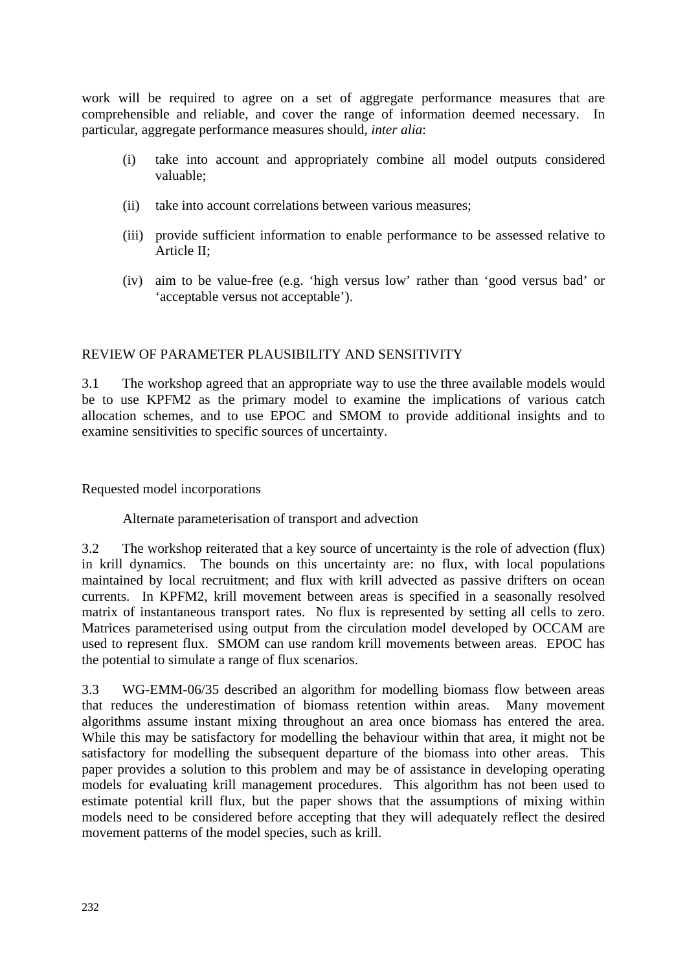work will be required to agree on a set of aggregate performance measures that are comprehensible and reliable, and cover the range of information deemed necessary. In particular, aggregate performance measures should, *inter alia*:

- (i) take into account and appropriately combine all model outputs considered valuable;
- (ii) take into account correlations between various measures;
- (iii) provide sufficient information to enable performance to be assessed relative to Article II;
- (iv) aim to be value-free (e.g. 'high versus low' rather than 'good versus bad' or 'acceptable versus not acceptable').

# REVIEW OF PARAMETER PLAUSIBILITY AND SENSITIVITY

3.1 The workshop agreed that an appropriate way to use the three available models would be to use KPFM2 as the primary model to examine the implications of various catch allocation schemes, and to use EPOC and SMOM to provide additional insights and to examine sensitivities to specific sources of uncertainty.

Requested model incorporations

Alternate parameterisation of transport and advection

3.2 The workshop reiterated that a key source of uncertainty is the role of advection (flux) in krill dynamics. The bounds on this uncertainty are: no flux, with local populations maintained by local recruitment; and flux with krill advected as passive drifters on ocean currents. In KPFM2, krill movement between areas is specified in a seasonally resolved matrix of instantaneous transport rates. No flux is represented by setting all cells to zero. Matrices parameterised using output from the circulation model developed by OCCAM are used to represent flux. SMOM can use random krill movements between areas. EPOC has the potential to simulate a range of flux scenarios.

3.3 WG-EMM-06/35 described an algorithm for modelling biomass flow between areas that reduces the underestimation of biomass retention within areas. Many movement algorithms assume instant mixing throughout an area once biomass has entered the area. While this may be satisfactory for modelling the behaviour within that area, it might not be satisfactory for modelling the subsequent departure of the biomass into other areas. This paper provides a solution to this problem and may be of assistance in developing operating models for evaluating krill management procedures. This algorithm has not been used to estimate potential krill flux, but the paper shows that the assumptions of mixing within models need to be considered before accepting that they will adequately reflect the desired movement patterns of the model species, such as krill.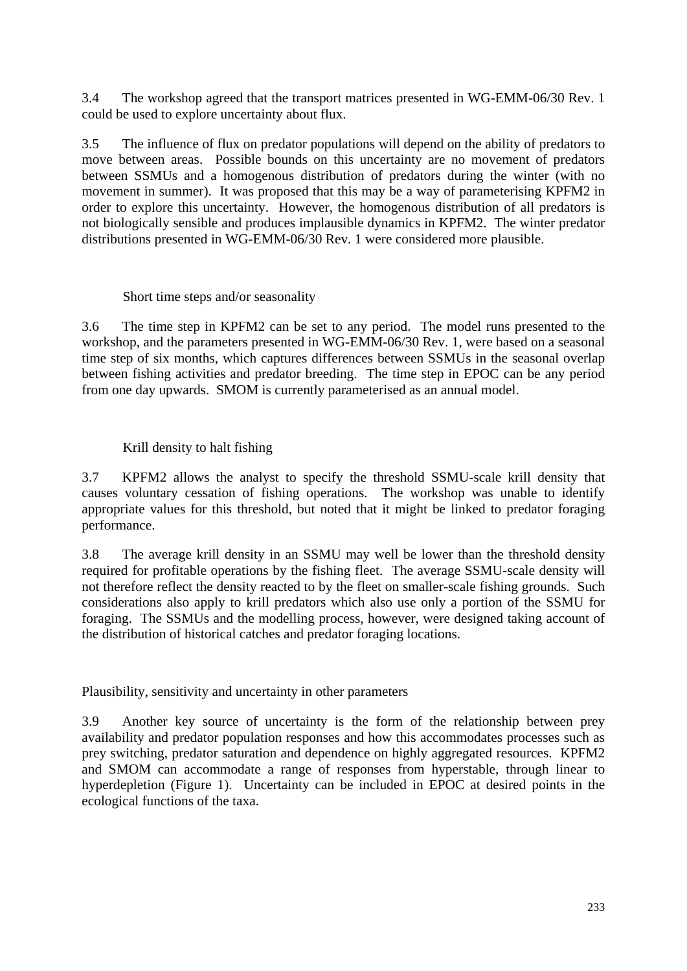3.4 The workshop agreed that the transport matrices presented in WG-EMM-06/30 Rev. 1 could be used to explore uncertainty about flux.

3.5 The influence of flux on predator populations will depend on the ability of predators to move between areas. Possible bounds on this uncertainty are no movement of predators between SSMUs and a homogenous distribution of predators during the winter (with no movement in summer). It was proposed that this may be a way of parameterising KPFM2 in order to explore this uncertainty. However, the homogenous distribution of all predators is not biologically sensible and produces implausible dynamics in KPFM2. The winter predator distributions presented in WG-EMM-06/30 Rev. 1 were considered more plausible.

### Short time steps and/or seasonality

3.6 The time step in KPFM2 can be set to any period. The model runs presented to the workshop, and the parameters presented in WG-EMM-06/30 Rev. 1, were based on a seasonal time step of six months, which captures differences between SSMUs in the seasonal overlap between fishing activities and predator breeding. The time step in EPOC can be any period from one day upwards. SMOM is currently parameterised as an annual model.

# Krill density to halt fishing

3.7 KPFM2 allows the analyst to specify the threshold SSMU-scale krill density that causes voluntary cessation of fishing operations. The workshop was unable to identify appropriate values for this threshold, but noted that it might be linked to predator foraging performance.

3.8 The average krill density in an SSMU may well be lower than the threshold density required for profitable operations by the fishing fleet. The average SSMU-scale density will not therefore reflect the density reacted to by the fleet on smaller-scale fishing grounds. Such considerations also apply to krill predators which also use only a portion of the SSMU for foraging. The SSMUs and the modelling process, however, were designed taking account of the distribution of historical catches and predator foraging locations.

Plausibility, sensitivity and uncertainty in other parameters

3.9 Another key source of uncertainty is the form of the relationship between prey availability and predator population responses and how this accommodates processes such as prey switching, predator saturation and dependence on highly aggregated resources. KPFM2 and SMOM can accommodate a range of responses from hyperstable, through linear to hyperdepletion (Figure 1). Uncertainty can be included in EPOC at desired points in the ecological functions of the taxa.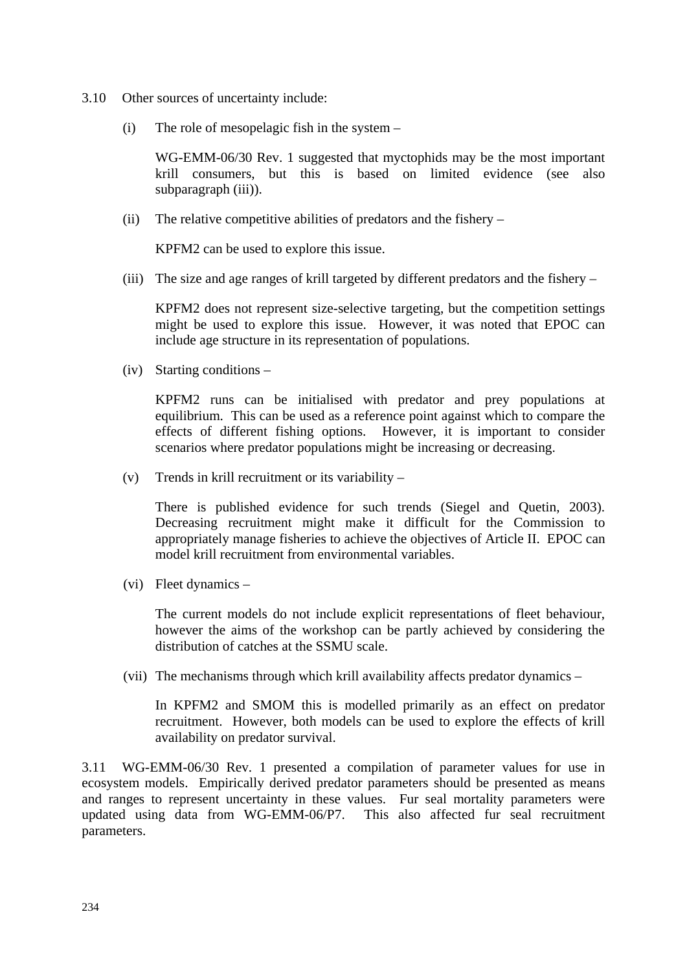- 3.10 Other sources of uncertainty include:
	- (i) The role of mesopelagic fish in the system –

 WG-EMM-06/30 Rev. 1 suggested that myctophids may be the most important krill consumers, but this is based on limited evidence (see also subparagraph (iii)).

(ii) The relative competitive abilities of predators and the fishery –

KPFM2 can be used to explore this issue.

(iii) The size and age ranges of krill targeted by different predators and the fishery –

 KPFM2 does not represent size-selective targeting, but the competition settings might be used to explore this issue. However, it was noted that EPOC can include age structure in its representation of populations.

(iv) Starting conditions –

 KPFM2 runs can be initialised with predator and prey populations at equilibrium. This can be used as a reference point against which to compare the effects of different fishing options. However, it is important to consider scenarios where predator populations might be increasing or decreasing.

(v) Trends in krill recruitment or its variability –

 There is published evidence for such trends (Siegel and Quetin, 2003). Decreasing recruitment might make it difficult for the Commission to appropriately manage fisheries to achieve the objectives of Article II. EPOC can model krill recruitment from environmental variables.

(vi) Fleet dynamics –

 The current models do not include explicit representations of fleet behaviour, however the aims of the workshop can be partly achieved by considering the distribution of catches at the SSMU scale.

(vii) The mechanisms through which krill availability affects predator dynamics –

 In KPFM2 and SMOM this is modelled primarily as an effect on predator recruitment. However, both models can be used to explore the effects of krill availability on predator survival.

3.11 WG-EMM-06/30 Rev. 1 presented a compilation of parameter values for use in ecosystem models. Empirically derived predator parameters should be presented as means and ranges to represent uncertainty in these values. Fur seal mortality parameters were updated using data from WG-EMM-06/P7. This also affected fur seal recruitment parameters.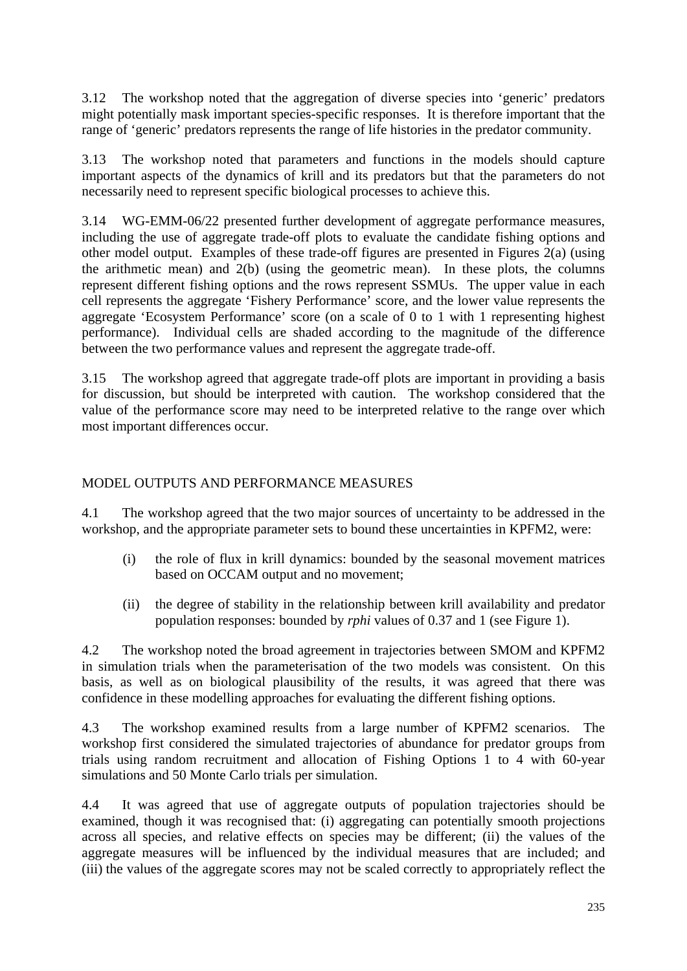3.12 The workshop noted that the aggregation of diverse species into 'generic' predators might potentially mask important species-specific responses. It is therefore important that the range of 'generic' predators represents the range of life histories in the predator community.

3.13 The workshop noted that parameters and functions in the models should capture important aspects of the dynamics of krill and its predators but that the parameters do not necessarily need to represent specific biological processes to achieve this.

3.14 WG-EMM-06/22 presented further development of aggregate performance measures, including the use of aggregate trade-off plots to evaluate the candidate fishing options and other model output. Examples of these trade-off figures are presented in Figures 2(a) (using the arithmetic mean) and 2(b) (using the geometric mean). In these plots, the columns represent different fishing options and the rows represent SSMUs. The upper value in each cell represents the aggregate 'Fishery Performance' score, and the lower value represents the aggregate 'Ecosystem Performance' score (on a scale of 0 to 1 with 1 representing highest performance). Individual cells are shaded according to the magnitude of the difference between the two performance values and represent the aggregate trade-off.

3.15 The workshop agreed that aggregate trade-off plots are important in providing a basis for discussion, but should be interpreted with caution. The workshop considered that the value of the performance score may need to be interpreted relative to the range over which most important differences occur.

# MODEL OUTPUTS AND PERFORMANCE MEASURES

4.1 The workshop agreed that the two major sources of uncertainty to be addressed in the workshop, and the appropriate parameter sets to bound these uncertainties in KPFM2, were:

- (i) the role of flux in krill dynamics: bounded by the seasonal movement matrices based on OCCAM output and no movement;
- (ii) the degree of stability in the relationship between krill availability and predator population responses: bounded by *rphi* values of 0.37 and 1 (see Figure 1).

4.2 The workshop noted the broad agreement in trajectories between SMOM and KPFM2 in simulation trials when the parameterisation of the two models was consistent. On this basis, as well as on biological plausibility of the results, it was agreed that there was confidence in these modelling approaches for evaluating the different fishing options.

4.3 The workshop examined results from a large number of KPFM2 scenarios. The workshop first considered the simulated trajectories of abundance for predator groups from trials using random recruitment and allocation of Fishing Options 1 to 4 with 60-year simulations and 50 Monte Carlo trials per simulation.

4.4 It was agreed that use of aggregate outputs of population trajectories should be examined, though it was recognised that: (i) aggregating can potentially smooth projections across all species, and relative effects on species may be different; (ii) the values of the aggregate measures will be influenced by the individual measures that are included; and (iii) the values of the aggregate scores may not be scaled correctly to appropriately reflect the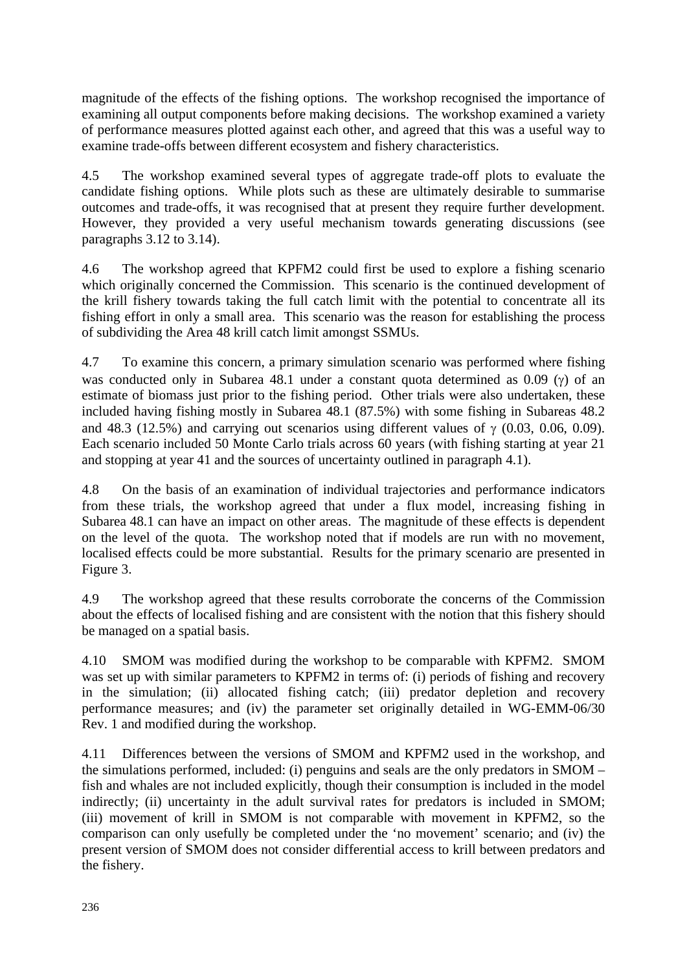magnitude of the effects of the fishing options. The workshop recognised the importance of examining all output components before making decisions. The workshop examined a variety of performance measures plotted against each other, and agreed that this was a useful way to examine trade-offs between different ecosystem and fishery characteristics.

4.5 The workshop examined several types of aggregate trade-off plots to evaluate the candidate fishing options. While plots such as these are ultimately desirable to summarise outcomes and trade-offs, it was recognised that at present they require further development. However, they provided a very useful mechanism towards generating discussions (see paragraphs 3.12 to 3.14).

4.6 The workshop agreed that KPFM2 could first be used to explore a fishing scenario which originally concerned the Commission. This scenario is the continued development of the krill fishery towards taking the full catch limit with the potential to concentrate all its fishing effort in only a small area. This scenario was the reason for establishing the process of subdividing the Area 48 krill catch limit amongst SSMUs.

4.7 To examine this concern, a primary simulation scenario was performed where fishing was conducted only in Subarea 48.1 under a constant quota determined as 0.09 (γ) of an estimate of biomass just prior to the fishing period. Other trials were also undertaken, these included having fishing mostly in Subarea 48.1 (87.5%) with some fishing in Subareas 48.2 and 48.3 (12.5%) and carrying out scenarios using different values of  $\gamma$  (0.03, 0.06, 0.09). Each scenario included 50 Monte Carlo trials across 60 years (with fishing starting at year 21 and stopping at year 41 and the sources of uncertainty outlined in paragraph 4.1).

4.8 On the basis of an examination of individual trajectories and performance indicators from these trials, the workshop agreed that under a flux model, increasing fishing in Subarea 48.1 can have an impact on other areas. The magnitude of these effects is dependent on the level of the quota. The workshop noted that if models are run with no movement, localised effects could be more substantial. Results for the primary scenario are presented in Figure 3.

4.9 The workshop agreed that these results corroborate the concerns of the Commission about the effects of localised fishing and are consistent with the notion that this fishery should be managed on a spatial basis.

4.10 SMOM was modified during the workshop to be comparable with KPFM2. SMOM was set up with similar parameters to KPFM2 in terms of: (i) periods of fishing and recovery in the simulation; (ii) allocated fishing catch; (iii) predator depletion and recovery performance measures; and (iv) the parameter set originally detailed in WG-EMM-06/30 Rev. 1 and modified during the workshop.

4.11 Differences between the versions of SMOM and KPFM2 used in the workshop, and the simulations performed, included: (i) penguins and seals are the only predators in SMOM – fish and whales are not included explicitly, though their consumption is included in the model indirectly; (ii) uncertainty in the adult survival rates for predators is included in SMOM; (iii) movement of krill in SMOM is not comparable with movement in KPFM2, so the comparison can only usefully be completed under the 'no movement' scenario; and (iv) the present version of SMOM does not consider differential access to krill between predators and the fishery.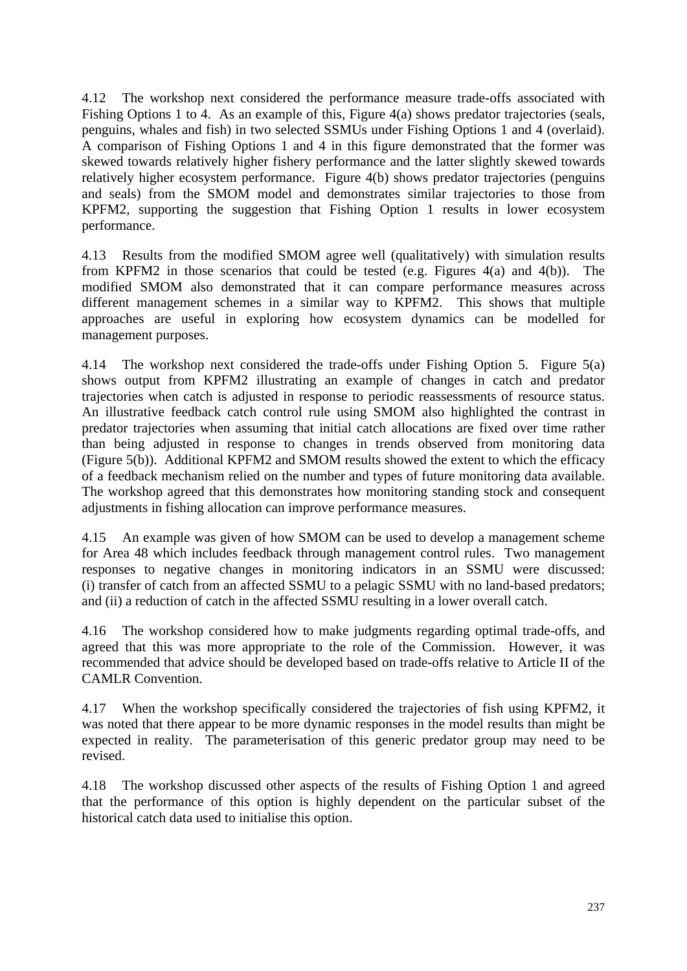4.12 The workshop next considered the performance measure trade-offs associated with Fishing Options 1 to 4. As an example of this, Figure 4(a) shows predator trajectories (seals, penguins, whales and fish) in two selected SSMUs under Fishing Options 1 and 4 (overlaid). A comparison of Fishing Options 1 and 4 in this figure demonstrated that the former was skewed towards relatively higher fishery performance and the latter slightly skewed towards relatively higher ecosystem performance. Figure 4(b) shows predator trajectories (penguins and seals) from the SMOM model and demonstrates similar trajectories to those from KPFM2, supporting the suggestion that Fishing Option 1 results in lower ecosystem performance.

4.13 Results from the modified SMOM agree well (qualitatively) with simulation results from KPFM2 in those scenarios that could be tested (e.g. Figures 4(a) and 4(b)). The modified SMOM also demonstrated that it can compare performance measures across different management schemes in a similar way to KPFM2. This shows that multiple approaches are useful in exploring how ecosystem dynamics can be modelled for management purposes.

4.14 The workshop next considered the trade-offs under Fishing Option 5. Figure 5(a) shows output from KPFM2 illustrating an example of changes in catch and predator trajectories when catch is adjusted in response to periodic reassessments of resource status. An illustrative feedback catch control rule using SMOM also highlighted the contrast in predator trajectories when assuming that initial catch allocations are fixed over time rather than being adjusted in response to changes in trends observed from monitoring data (Figure 5(b)). Additional KPFM2 and SMOM results showed the extent to which the efficacy of a feedback mechanism relied on the number and types of future monitoring data available. The workshop agreed that this demonstrates how monitoring standing stock and consequent adjustments in fishing allocation can improve performance measures.

4.15 An example was given of how SMOM can be used to develop a management scheme for Area 48 which includes feedback through management control rules. Two management responses to negative changes in monitoring indicators in an SSMU were discussed: (i) transfer of catch from an affected SSMU to a pelagic SSMU with no land-based predators; and (ii) a reduction of catch in the affected SSMU resulting in a lower overall catch.

4.16 The workshop considered how to make judgments regarding optimal trade-offs, and agreed that this was more appropriate to the role of the Commission. However, it was recommended that advice should be developed based on trade-offs relative to Article II of the CAMLR Convention.

4.17 When the workshop specifically considered the trajectories of fish using KPFM2, it was noted that there appear to be more dynamic responses in the model results than might be expected in reality. The parameterisation of this generic predator group may need to be revised.

4.18 The workshop discussed other aspects of the results of Fishing Option 1 and agreed that the performance of this option is highly dependent on the particular subset of the historical catch data used to initialise this option.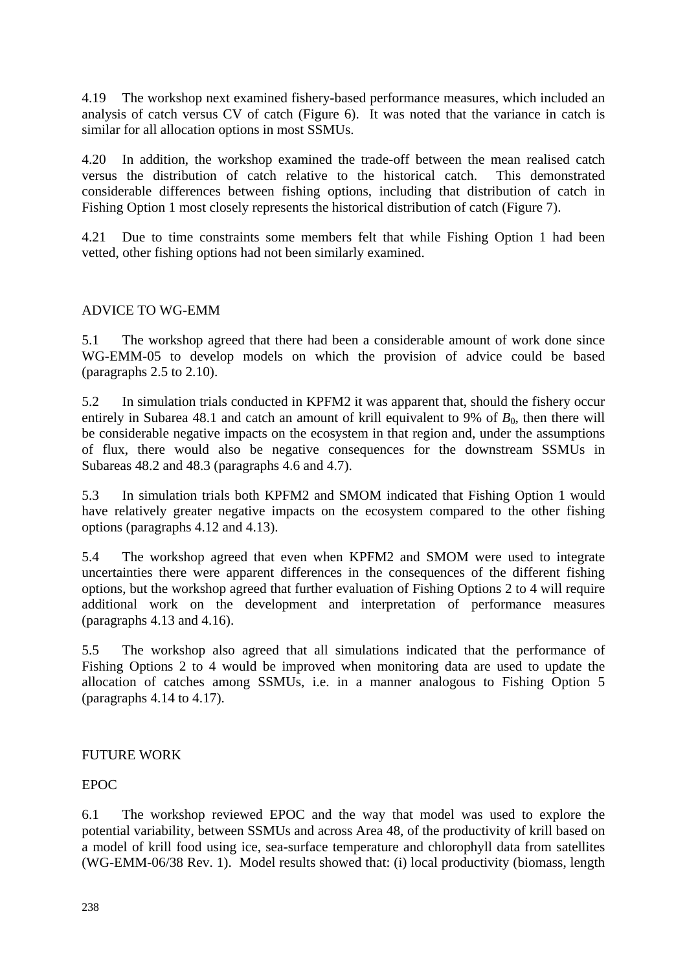4.19 The workshop next examined fishery-based performance measures, which included an analysis of catch versus CV of catch (Figure 6). It was noted that the variance in catch is similar for all allocation options in most SSMUs.

4.20 In addition, the workshop examined the trade-off between the mean realised catch versus the distribution of catch relative to the historical catch. This demonstrated considerable differences between fishing options, including that distribution of catch in Fishing Option 1 most closely represents the historical distribution of catch (Figure 7).

4.21 Due to time constraints some members felt that while Fishing Option 1 had been vetted, other fishing options had not been similarly examined.

#### ADVICE TO WG-EMM

5.1 The workshop agreed that there had been a considerable amount of work done since WG-EMM-05 to develop models on which the provision of advice could be based (paragraphs 2.5 to 2.10).

5.2 In simulation trials conducted in KPFM2 it was apparent that, should the fishery occur entirely in Subarea 48.1 and catch an amount of krill equivalent to 9% of  $B_0$ , then there will be considerable negative impacts on the ecosystem in that region and, under the assumptions of flux, there would also be negative consequences for the downstream SSMUs in Subareas 48.2 and 48.3 (paragraphs 4.6 and 4.7).

5.3 In simulation trials both KPFM2 and SMOM indicated that Fishing Option 1 would have relatively greater negative impacts on the ecosystem compared to the other fishing options (paragraphs 4.12 and 4.13).

5.4 The workshop agreed that even when KPFM2 and SMOM were used to integrate uncertainties there were apparent differences in the consequences of the different fishing options, but the workshop agreed that further evaluation of Fishing Options 2 to 4 will require additional work on the development and interpretation of performance measures (paragraphs 4.13 and 4.16).

5.5 The workshop also agreed that all simulations indicated that the performance of Fishing Options 2 to 4 would be improved when monitoring data are used to update the allocation of catches among SSMUs, i.e. in a manner analogous to Fishing Option 5 (paragraphs 4.14 to 4.17).

#### FUTURE WORK

### EPOC

6.1 The workshop reviewed EPOC and the way that model was used to explore the potential variability, between SSMUs and across Area 48, of the productivity of krill based on a model of krill food using ice, sea-surface temperature and chlorophyll data from satellites (WG-EMM-06/38 Rev. 1). Model results showed that: (i) local productivity (biomass, length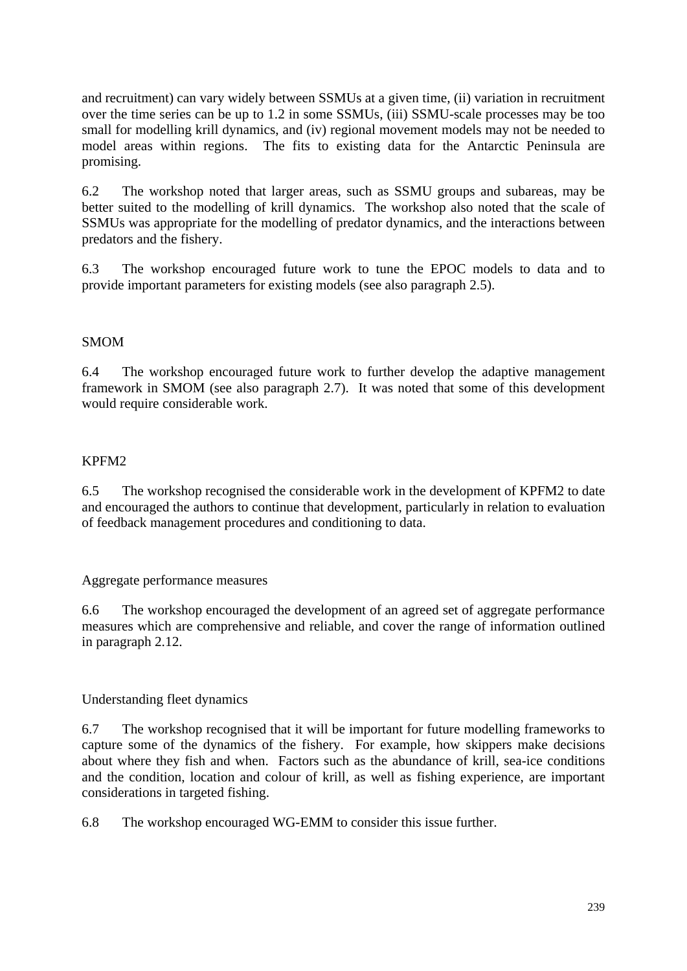and recruitment) can vary widely between SSMUs at a given time, (ii) variation in recruitment over the time series can be up to 1.2 in some SSMUs, (iii) SSMU-scale processes may be too small for modelling krill dynamics, and (iv) regional movement models may not be needed to model areas within regions. The fits to existing data for the Antarctic Peninsula are promising.

6.2 The workshop noted that larger areas, such as SSMU groups and subareas, may be better suited to the modelling of krill dynamics. The workshop also noted that the scale of SSMUs was appropriate for the modelling of predator dynamics, and the interactions between predators and the fishery.

6.3 The workshop encouraged future work to tune the EPOC models to data and to provide important parameters for existing models (see also paragraph 2.5).

# SMOM

6.4 The workshop encouraged future work to further develop the adaptive management framework in SMOM (see also paragraph 2.7). It was noted that some of this development would require considerable work.

# KPFM2

6.5 The workshop recognised the considerable work in the development of KPFM2 to date and encouraged the authors to continue that development, particularly in relation to evaluation of feedback management procedures and conditioning to data.

Aggregate performance measures

6.6 The workshop encouraged the development of an agreed set of aggregate performance measures which are comprehensive and reliable, and cover the range of information outlined in paragraph 2.12.

# Understanding fleet dynamics

6.7 The workshop recognised that it will be important for future modelling frameworks to capture some of the dynamics of the fishery. For example, how skippers make decisions about where they fish and when. Factors such as the abundance of krill, sea-ice conditions and the condition, location and colour of krill, as well as fishing experience, are important considerations in targeted fishing.

6.8 The workshop encouraged WG-EMM to consider this issue further.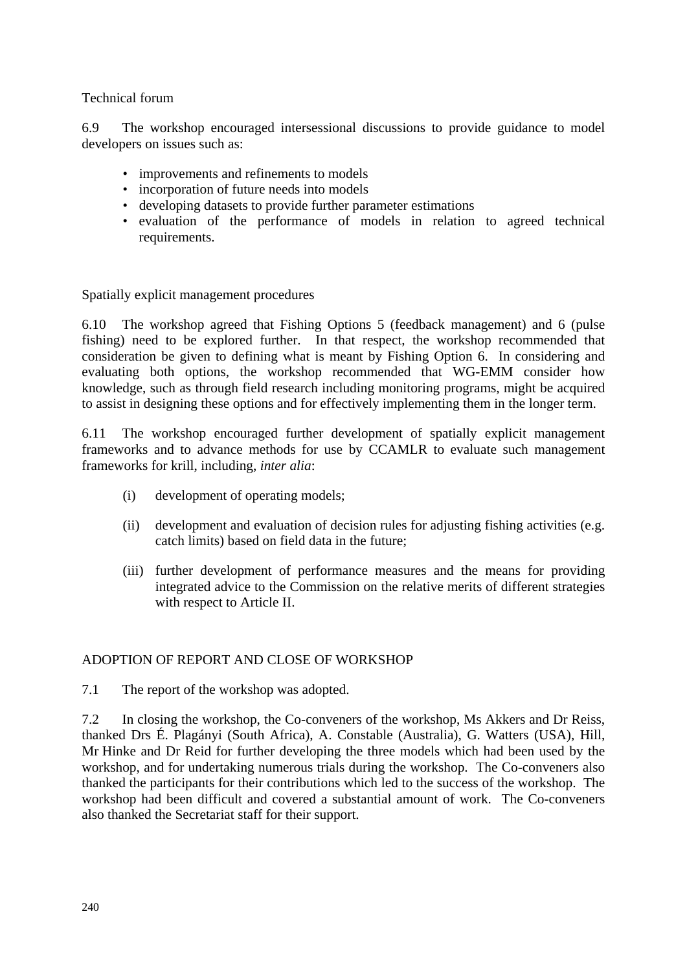### Technical forum

6.9 The workshop encouraged intersessional discussions to provide guidance to model developers on issues such as:

- improvements and refinements to models
- incorporation of future needs into models
- developing datasets to provide further parameter estimations
- evaluation of the performance of models in relation to agreed technical requirements.

Spatially explicit management procedures

6.10 The workshop agreed that Fishing Options 5 (feedback management) and 6 (pulse fishing) need to be explored further. In that respect, the workshop recommended that consideration be given to defining what is meant by Fishing Option 6. In considering and evaluating both options, the workshop recommended that WG-EMM consider how knowledge, such as through field research including monitoring programs, might be acquired to assist in designing these options and for effectively implementing them in the longer term.

6.11 The workshop encouraged further development of spatially explicit management frameworks and to advance methods for use by CCAMLR to evaluate such management frameworks for krill, including, *inter alia*:

- (i) development of operating models;
- (ii) development and evaluation of decision rules for adjusting fishing activities (e.g. catch limits) based on field data in the future;
- (iii) further development of performance measures and the means for providing integrated advice to the Commission on the relative merits of different strategies with respect to Article II.

#### ADOPTION OF REPORT AND CLOSE OF WORKSHOP

7.1 The report of the workshop was adopted.

7.2 In closing the workshop, the Co-conveners of the workshop, Ms Akkers and Dr Reiss, thanked Drs É. Plagányi (South Africa), A. Constable (Australia), G. Watters (USA), Hill, Mr Hinke and Dr Reid for further developing the three models which had been used by the workshop, and for undertaking numerous trials during the workshop. The Co-conveners also thanked the participants for their contributions which led to the success of the workshop. The workshop had been difficult and covered a substantial amount of work. The Co-conveners also thanked the Secretariat staff for their support.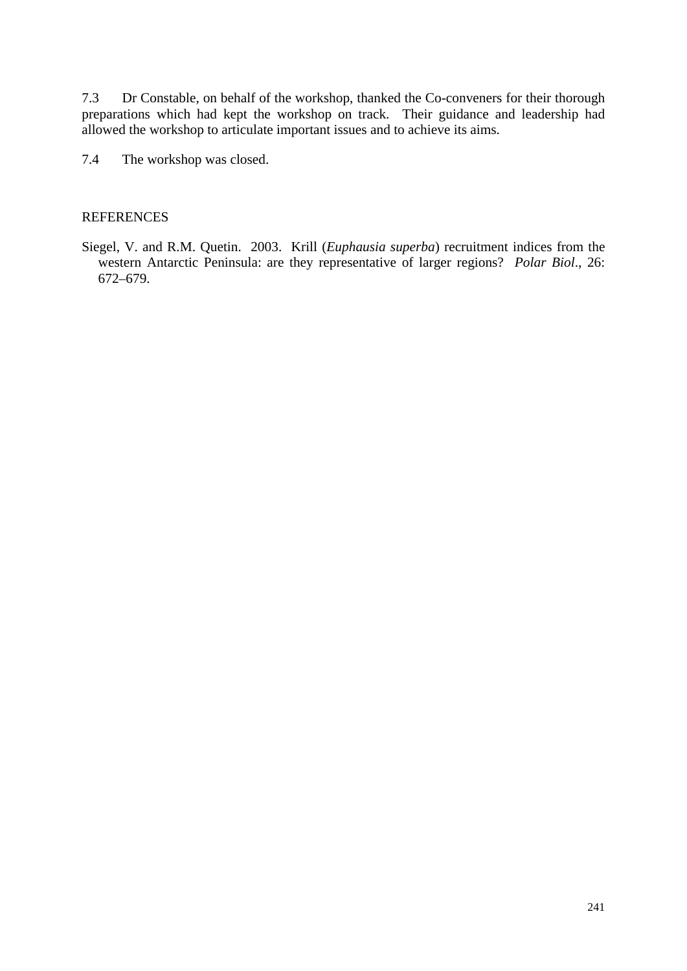7.3 Dr Constable, on behalf of the workshop, thanked the Co-conveners for their thorough preparations which had kept the workshop on track. Their guidance and leadership had allowed the workshop to articulate important issues and to achieve its aims.

7.4 The workshop was closed.

#### **REFERENCES**

Siegel, V. and R.M. Quetin. 2003. Krill (*Euphausia superba*) recruitment indices from the western Antarctic Peninsula: are they representative of larger regions? *Polar Biol*., 26: 672–679.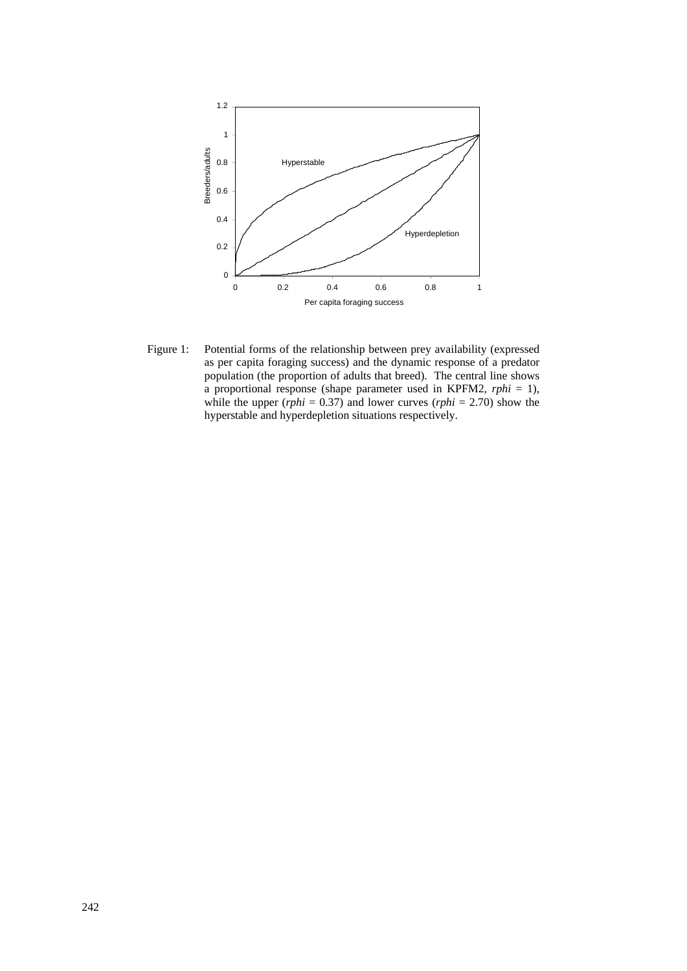

Figure 1: Potential forms of the relationship between prey availability (expressed as per capita foraging success) and the dynamic response of a predator population (the proportion of adults that breed). The central line shows a proportional response (shape parameter used in KPFM2, *rphi* = 1), while the upper  $(rphi = 0.37)$  and lower curves  $(rphi = 2.70)$  show the hyperstable and hyperdepletion situations respectively.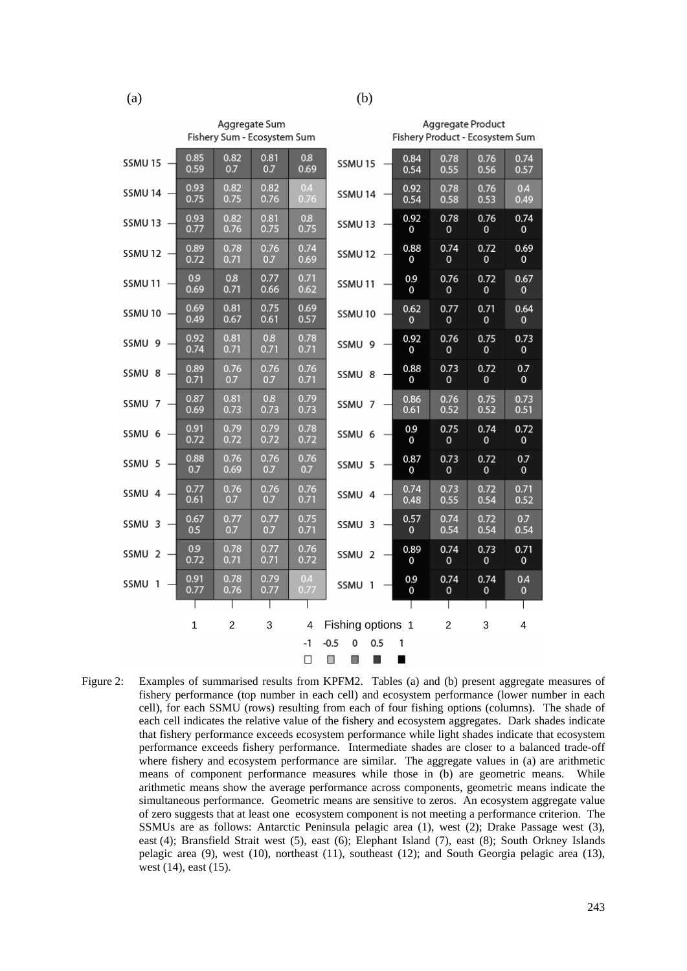|                   |              | Aggregate Sum<br>Fishery Sum - Ecosystem Sum |              |              |                                    | Aggregate Product<br>Fishery Product - Ecosystem Sum |                      |                                |
|-------------------|--------------|----------------------------------------------|--------------|--------------|------------------------------------|------------------------------------------------------|----------------------|--------------------------------|
| SSMU 15           | 0.85<br>0.59 | 0.82<br>0.7                                  | 0.81<br>0.7  | 0.8<br>0.69  | 0.84<br>SSMU15<br>0.54             | 0.78<br>0.55                                         | 0.76<br>0.56         | 0.74<br>0.57                   |
| SSMU 14           | 0.93<br>0.75 | 0.82<br>0.75                                 | 0.82<br>0.76 | 0.4<br>0.76  | 0.92<br>SSMU <sub>14</sub><br>0.54 | 0.78<br>0.58                                         | 0.76<br>0.53         | 0 <sub>A</sub><br>0.49         |
| SSMU 13           | 0.93<br>0.77 | 0.82<br>0.76                                 | 0.81<br>0.75 | 0.8<br>0.75  | 0.92<br>SSMU <sub>13</sub><br>0    | 0.78<br>0                                            | 0.76<br>$\mathbf 0$  | 0.74<br>0                      |
| SSMU 12           | 0.89<br>0.72 | 0.78<br>0.71                                 | 0.76<br>0.7  | 0.74<br>0.69 | 0.88<br>SSMU12<br>0                | 0.74<br>0                                            | 0.72<br>$\mathbf 0$  | 0.69<br>0                      |
| SSMU 11           | 0.9<br>0.69  | 0.8<br>0.71                                  | 0.77<br>0.66 | 0.71<br>0.62 | 0.9<br>SSMU <sub>11</sub><br>0     | 0.76<br>0                                            | 0.72<br>$\mathbf{0}$ | 0.67<br>$\mathbf{0}$           |
| SSMU 10           | 0.69<br>0.49 | 0.81<br>0.67                                 | 0.75<br>0.61 | 0.69<br>0.57 | 0.62<br>SSMU10<br>0                | 0.77<br>0                                            | 0.71<br>$\mathbf{0}$ | 0.64<br>0                      |
| SSMU 9            | 0.92<br>0.74 | 0.81<br>0.71                                 | 0.8<br>0.71  | 0.78<br>0.71 | 0.92<br>SSMU 9<br>0                | 0.76<br>0                                            | 0.75<br>$\mathbf{0}$ | 0.73<br>0                      |
| SSMU 8            | 0.89<br>0.71 | 0.76<br>0.7                                  | 0.76<br>0.7  | 0.76<br>0.71 | 0.88<br>SSMU 8<br>0                | 0.73<br>0                                            | 0.72<br>$\mathbf{0}$ | 0.7<br>$\mathbf{o}$            |
| SSMU 7            | 0.87<br>0.69 | 0.81<br>0.73                                 | 0.8<br>0.73  | 0.79<br>0.73 | 0.86<br>SSMU 7<br>0.61             | 0.76<br>0.52                                         | 0.75<br>0.52         | 0.73<br>0.51                   |
| SSMU <sub>6</sub> | 0.91<br>0.72 | 0.79<br>0.72                                 | 0.79<br>0.72 | 0.78<br>0.72 | 0.9<br>SSMU 6<br>0                 | 0.75<br>0                                            | 0.74<br>$\mathbf 0$  | 0.72<br>0                      |
| SSMU 5            | 0.88<br>0.7  | 0.76<br>0.69                                 | 0.76<br>0.7  | 0.76<br>0.7  | 0.87<br>SSMU 5<br>0                | 0.73<br>0                                            | 0.72<br>$\mathbf{0}$ | 0.7<br>$\mathbf{o}$            |
| SSMU 4            | 0.77<br>0.61 | 0.76<br>0.7                                  | 0.76<br>0.7  | 0.76<br>0.71 | 0.74<br>SSMU 4<br>0.48             | 0.73<br>0.55                                         | 0.72<br>0.54         | 0.71<br>0.52                   |
| SSMU 3            | 0.67<br>0.5  | 0.77<br>0.7                                  | 0.77<br>0.7  | 0.75<br>0.71 | 0.57<br>SSMU 3<br>0                | 0.74<br>0.54                                         | 0.72<br>0.54         | 0.7<br>0.54                    |
| SSMU <sub>2</sub> | 0.9<br>0.72  | 0.78<br>0.71                                 | 0.77<br>0.71 | 0.76<br>0.72 | 0.89<br>SSMU <sub>2</sub><br>0     | 0.74<br>0                                            | 0.73<br>$\mathbf{0}$ | 0.71<br>$\mathbf{o}$           |
| SSMU 1            | 0.91<br>0.77 | 0.78<br>0.76                                 | 0.79<br>0.77 | 0.4<br>0.77  | 0.9<br>SSMU 1<br>0                 | 0.74<br>0                                            | 0.74<br>0            | 0 <sub>A</sub><br>$\mathbf{0}$ |
|                   |              | ı                                            |              |              |                                    |                                                      |                      |                                |
|                   | $\mathbf{1}$ | $\overline{2}$                               | 3            | 4            | Fishing options 1                  | $\overline{2}$                                       | 3                    | $\overline{\mathbf{4}}$        |

Figure 2: Examples of summarised results from KPFM2. Tables (a) and (b) present aggregate measures of fishery performance (top number in each cell) and ecosystem performance (lower number in each cell), for each SSMU (rows) resulting from each of four fishing options (columns). The shade of each cell indicates the relative value of the fishery and ecosystem aggregates. Dark shades indicate that fishery performance exceeds ecosystem performance while light shades indicate that ecosystem performance exceeds fishery performance. Intermediate shades are closer to a balanced trade-off where fishery and ecosystem performance are similar. The aggregate values in (a) are arithmetic means of component performance measures while those in (b) are geometric means. While arithmetic means show the average performance across components, geometric means indicate the simultaneous performance. Geometric means are sensitive to zeros. An ecosystem aggregate value of zero suggests that at least one ecosystem component is not meeting a performance criterion. The SSMUs are as follows: Antarctic Peninsula pelagic area (1), west (2); Drake Passage west (3), east (4); Bransfield Strait west (5), east (6); Elephant Island (7), east (8); South Orkney Islands pelagic area (9), west (10), northeast (11), southeast (12); and South Georgia pelagic area (13), west (14), east (15).

 $\Omega$  $0.5$ 

 $\blacksquare$ 

 $\blacksquare$ 

 $\mathbf{1}$ 

 $-1$  $-0.5$ 

 $\Box$ 

 $\overline{\phantom{a}}$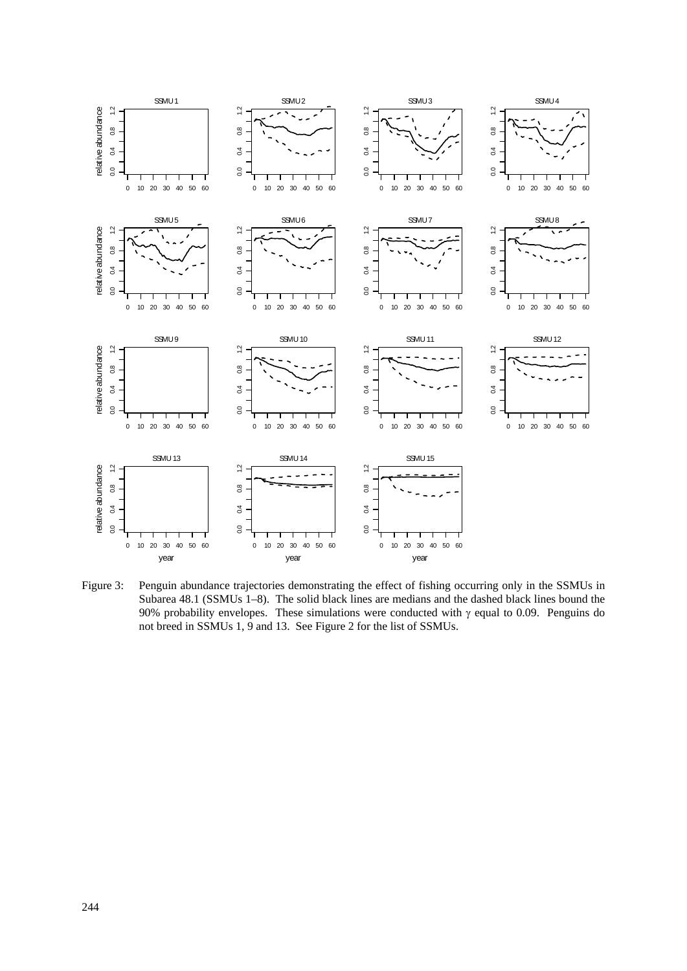

Figure 3: Penguin abundance trajectories demonstrating the effect of fishing occurring only in the SSMUs in Subarea 48.1 (SSMUs 1–8). The solid black lines are medians and the dashed black lines bound the 90% probability envelopes. These simulations were conducted with  $\gamma$  equal to 0.09. Penguins do not breed in SSMUs 1, 9 and 13. See Figure 2 for the list of SSMUs.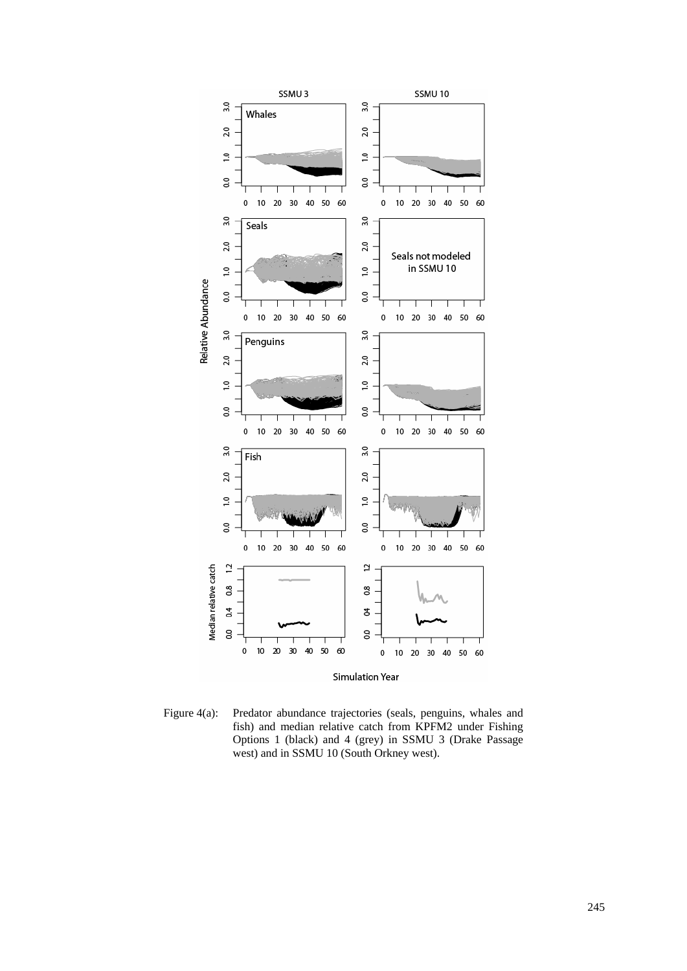

Figure 4(a): Predator abundance trajectories (seals, penguins, whales and fish) and median relative catch from KPFM2 under Fishing Options 1 (black) and 4 (grey) in SSMU 3 (Drake Passage west) and in SSMU 10 (South Orkney west).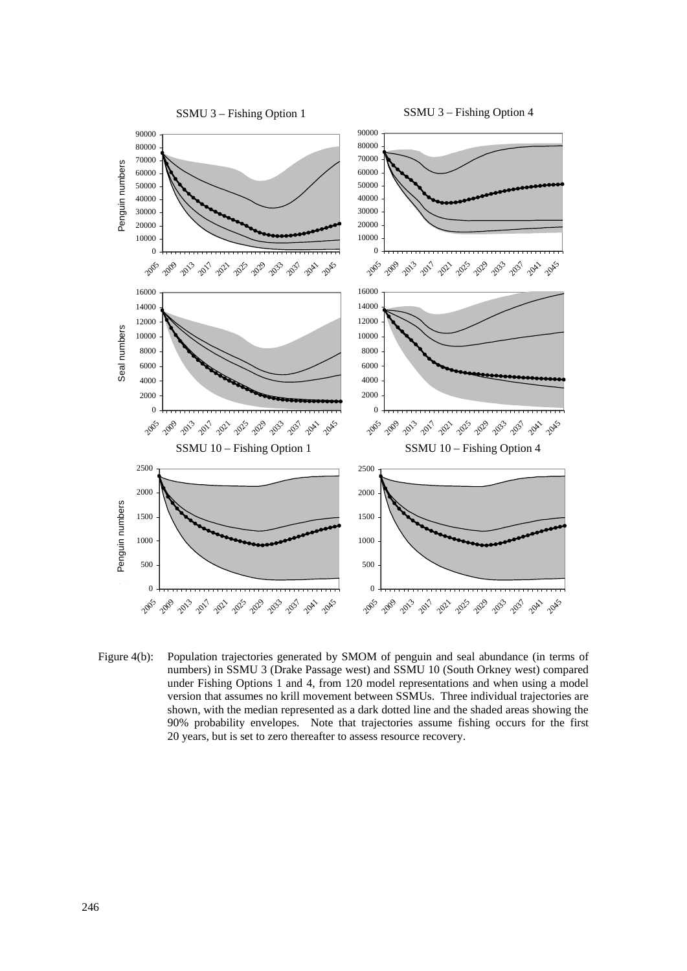

Figure 4(b): Population trajectories generated by SMOM of penguin and seal abundance (in terms of numbers) in SSMU 3 (Drake Passage west) and SSMU 10 (South Orkney west) compared under Fishing Options 1 and 4, from 120 model representations and when using a model version that assumes no krill movement between SSMUs. Three individual trajectories are shown, with the median represented as a dark dotted line and the shaded areas showing the 90% probability envelopes. Note that trajectories assume fishing occurs for the first 20 years, but is set to zero thereafter to assess resource recovery.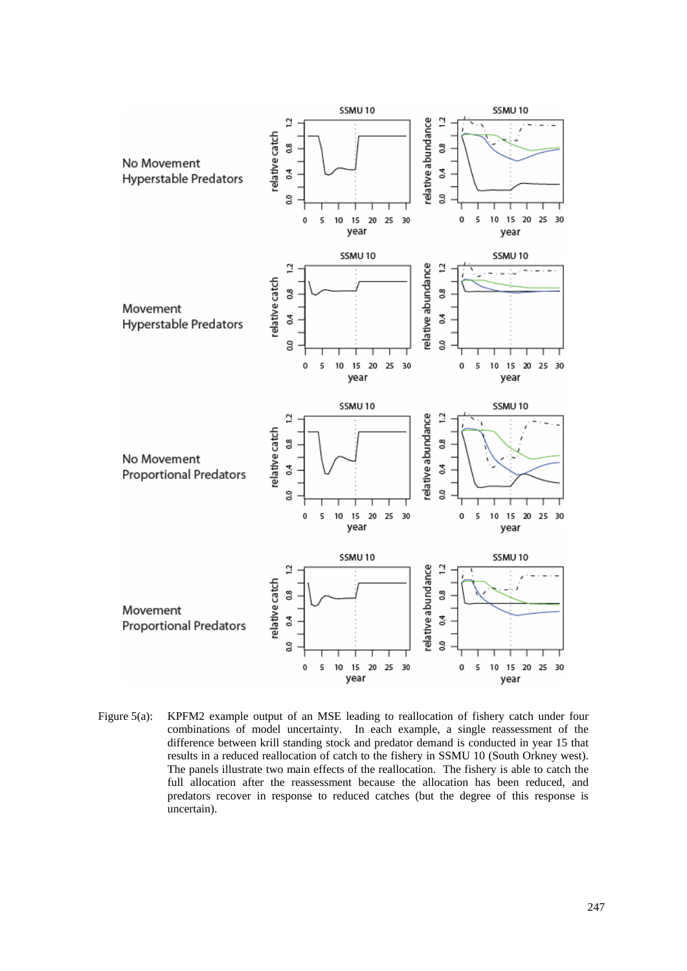

Figure 5(a): KPFM2 example output of an MSE leading to reallocation of fishery catch under four combinations of model uncertainty. In each example, a single reassessment of the difference between krill standing stock and predator demand is conducted in year 15 that results in a reduced reallocation of catch to the fishery in SSMU 10 (South Orkney west). The panels illustrate two main effects of the reallocation. The fishery is able to catch the full allocation after the reassessment because the allocation has been reduced, and predators recover in response to reduced catches (but the degree of this response is uncertain).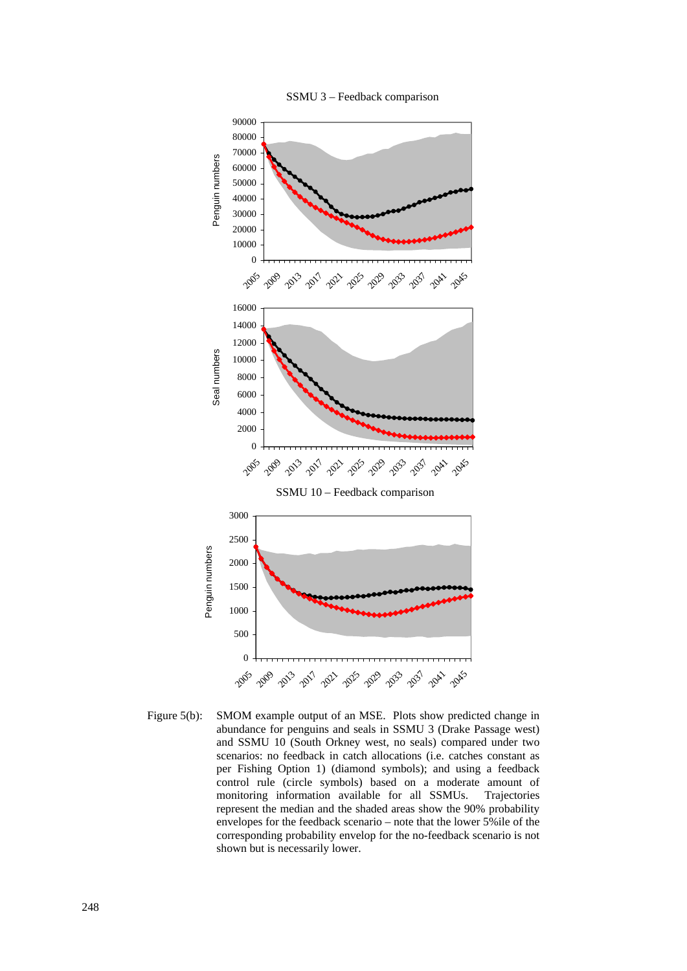



Figure 5(b): SMOM example output of an MSE. Plots show predicted change in abundance for penguins and seals in SSMU 3 (Drake Passage west) and SSMU 10 (South Orkney west, no seals) compared under two scenarios: no feedback in catch allocations (i.e. catches constant as per Fishing Option 1) (diamond symbols); and using a feedback control rule (circle symbols) based on a moderate amount of monitoring information available for all SSMUs. Trajectories represent the median and the shaded areas show the 90% probability envelopes for the feedback scenario – note that the lower 5%ile of the corresponding probability envelop for the no-feedback scenario is not shown but is necessarily lower.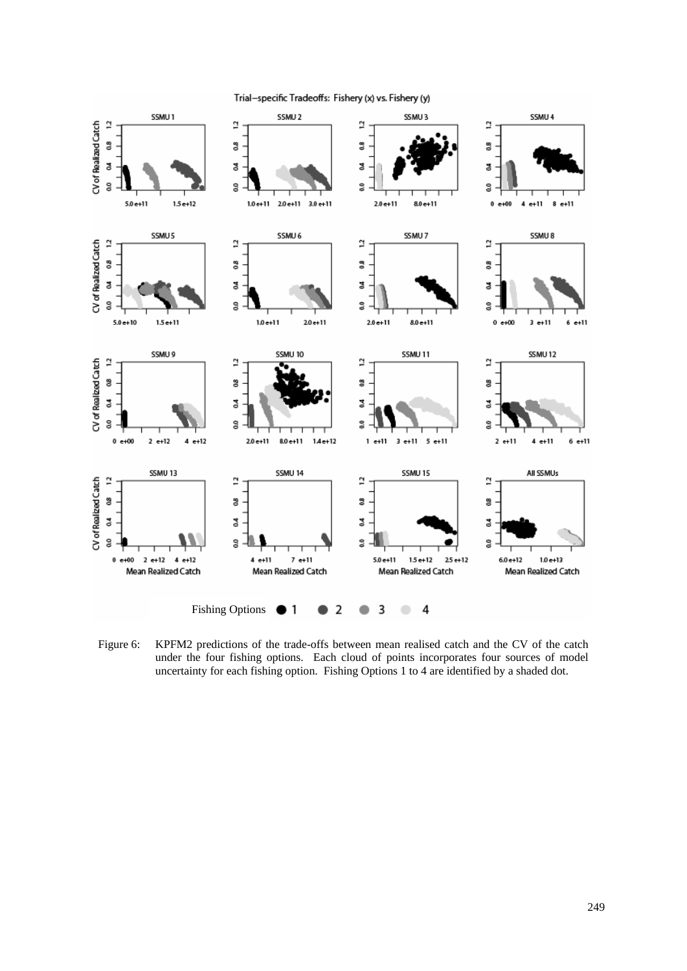

Trial-specific Tradeoffs: Fishery (x) vs. Fishery (y)

Figure 6: KPFM2 predictions of the trade-offs between mean realised catch and the CV of the catch under the four fishing options. Each cloud of points incorporates four sources of model uncertainty for each fishing option. Fishing Options 1 to 4 are identified by a shaded dot.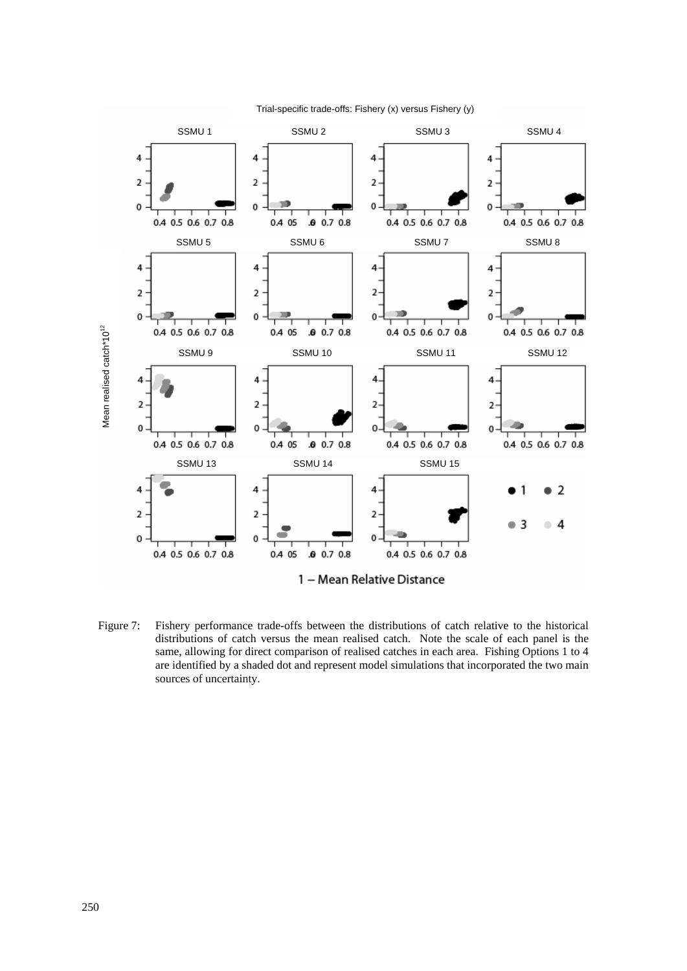

Trial-specific trade-offs: Fishery (x) versus Fishery (y)

Figure 7: Fishery performance trade-offs between the distributions of catch relative to the historical distributions of catch versus the mean realised catch. Note the scale of each panel is the same, allowing for direct comparison of realised catches in each area. Fishing Options 1 to 4 are identified by a shaded dot and represent model simulations that incorporated the two main sources of uncertainty.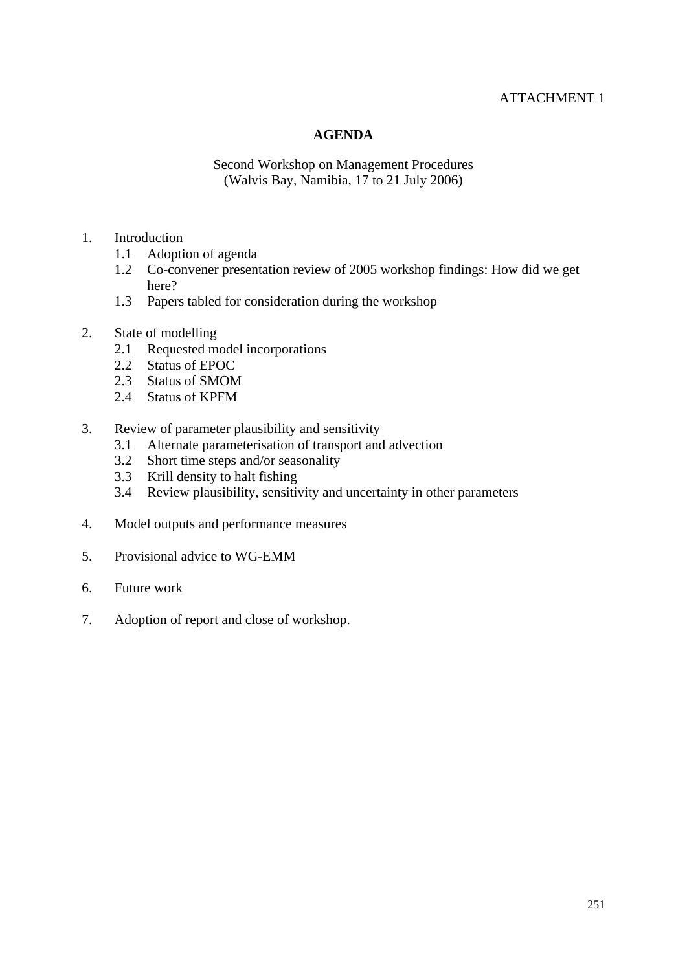# ATTACHMENT 1

### **AGENDA**

Second Workshop on Management Procedures (Walvis Bay, Namibia, 17 to 21 July 2006)

### 1. Introduction

- 1.1 Adoption of agenda
- 1.2 Co-convener presentation review of 2005 workshop findings: How did we get here?
- 1.3 Papers tabled for consideration during the workshop
- 2. State of modelling
	- 2.1 Requested model incorporations
	- 2.2 Status of EPOC
	- 2.3 Status of SMOM
	- 2.4 Status of KPFM
- 3. Review of parameter plausibility and sensitivity
	- 3.1 Alternate parameterisation of transport and advection
	- 3.2 Short time steps and/or seasonality
	- 3.3 Krill density to halt fishing
	- 3.4 Review plausibility, sensitivity and uncertainty in other parameters
- 4. Model outputs and performance measures
- 5. Provisional advice to WG-EMM
- 6. Future work
- 7. Adoption of report and close of workshop.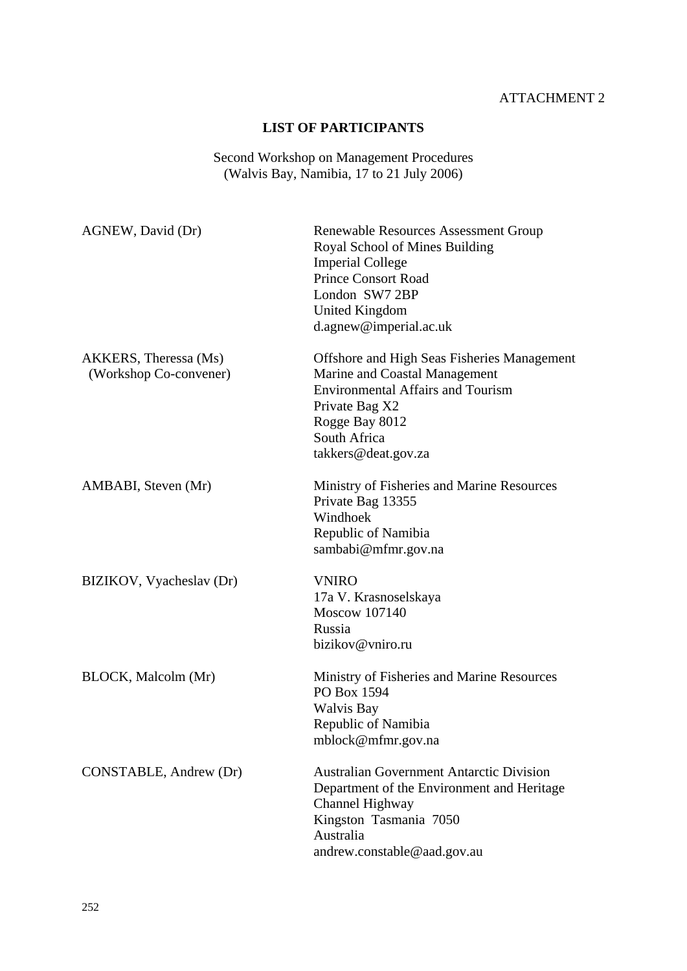# ATTACHMENT 2

# **LIST OF PARTICIPANTS**

#### Second Workshop on Management Procedures (Walvis Bay, Namibia, 17 to 21 July 2006)

| AGNEW, David (Dr)                               | Renewable Resources Assessment Group<br>Royal School of Mines Building<br><b>Imperial College</b><br><b>Prince Consort Road</b><br>London SW7 2BP<br><b>United Kingdom</b><br>d.agnew@imperial.ac.uk       |
|-------------------------------------------------|------------------------------------------------------------------------------------------------------------------------------------------------------------------------------------------------------------|
| AKKERS, Theressa (Ms)<br>(Workshop Co-convener) | <b>Offshore and High Seas Fisheries Management</b><br>Marine and Coastal Management<br><b>Environmental Affairs and Tourism</b><br>Private Bag X2<br>Rogge Bay 8012<br>South Africa<br>takkers@deat.gov.za |
| AMBABI, Steven (Mr)                             | Ministry of Fisheries and Marine Resources<br>Private Bag 13355<br>Windhoek<br>Republic of Namibia<br>sambabi@mfmr.gov.na                                                                                  |
| BIZIKOV, Vyacheslav (Dr)                        | <b>VNIRO</b><br>17a V. Krasnoselskaya<br>Moscow 107140<br>Russia<br>bizikov@vniro.ru                                                                                                                       |
| BLOCK, Malcolm (Mr)                             | Ministry of Fisheries and Marine Resources<br>PO Box 1594<br>Walvis Bay<br>Republic of Namibia<br>mblock@mfmr.gov.na                                                                                       |
| CONSTABLE, Andrew (Dr)                          | <b>Australian Government Antarctic Division</b><br>Department of the Environment and Heritage<br>Channel Highway<br>Kingston Tasmania 7050<br>Australia<br>andrew.constable@aad.gov.au                     |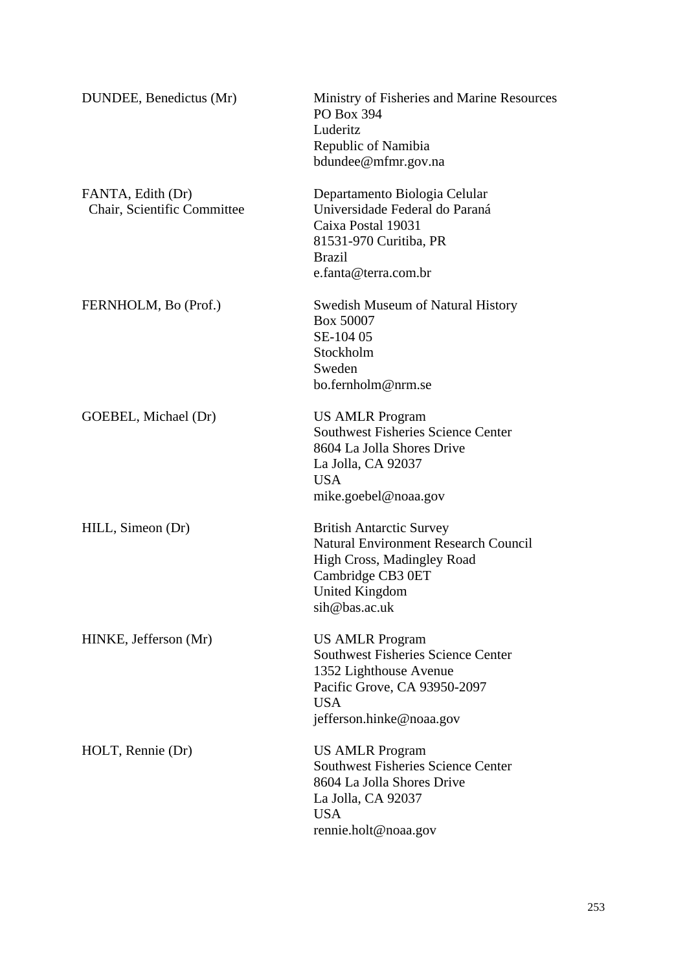| DUNDEE, Benedictus (Mr)                          | Ministry of Fisheries and Marine Resources<br>PO Box 394<br>Luderitz<br>Republic of Namibia<br>bdundee@mfmr.gov.na                                                      |
|--------------------------------------------------|-------------------------------------------------------------------------------------------------------------------------------------------------------------------------|
| FANTA, Edith (Dr)<br>Chair, Scientific Committee | Departamento Biologia Celular<br>Universidade Federal do Paraná<br>Caixa Postal 19031<br>81531-970 Curitiba, PR<br><b>Brazil</b><br>e.fanta@terra.com.br                |
| FERNHOLM, Bo (Prof.)                             | <b>Swedish Museum of Natural History</b><br>Box 50007<br>SE-104 05<br>Stockholm<br>Sweden<br>bo.fernholm@nrm.se                                                         |
| GOEBEL, Michael (Dr)                             | <b>US AMLR Program</b><br><b>Southwest Fisheries Science Center</b><br>8604 La Jolla Shores Drive<br>La Jolla, CA 92037<br><b>USA</b><br>mike.goebel@noaa.gov           |
| HILL, Simeon (Dr)                                | <b>British Antarctic Survey</b><br><b>Natural Environment Research Council</b><br>High Cross, Madingley Road<br>Cambridge CB3 0ET<br>United Kingdom<br>sih@bas.ac.uk    |
| HINKE, Jefferson (Mr)                            | <b>US AMLR Program</b><br><b>Southwest Fisheries Science Center</b><br>1352 Lighthouse Avenue<br>Pacific Grove, CA 93950-2097<br><b>USA</b><br>jefferson.hinke@noaa.gov |
| HOLT, Rennie (Dr)                                | <b>US AMLR Program</b><br><b>Southwest Fisheries Science Center</b><br>8604 La Jolla Shores Drive<br>La Jolla, CA 92037<br><b>USA</b><br>rennie.holt@noaa.gov           |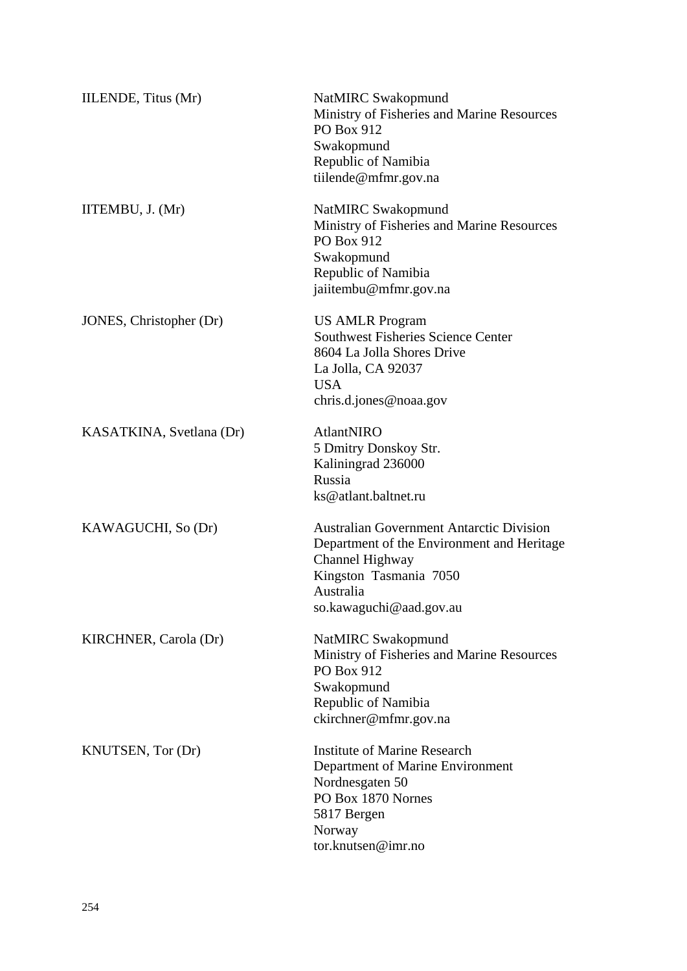| IILENDE, Titus (Mr)      | NatMIRC Swakopmund<br>Ministry of Fisheries and Marine Resources<br>PO Box 912<br>Swakopmund<br>Republic of Namibia<br>tiilende@mfmr.gov.na                                        |
|--------------------------|------------------------------------------------------------------------------------------------------------------------------------------------------------------------------------|
| IITEMBU, J. (Mr)         | NatMIRC Swakopmund<br>Ministry of Fisheries and Marine Resources<br>PO Box 912<br>Swakopmund<br>Republic of Namibia<br>jaiitembu@mfmr.gov.na                                       |
| JONES, Christopher (Dr)  | <b>US AMLR Program</b><br><b>Southwest Fisheries Science Center</b><br>8604 La Jolla Shores Drive<br>La Jolla, CA 92037<br><b>USA</b><br>chris.d.jones@noaa.gov                    |
| KASATKINA, Svetlana (Dr) | <b>AtlantNIRO</b><br>5 Dmitry Donskoy Str.<br>Kaliningrad 236000<br>Russia<br>ks@atlant.baltnet.ru                                                                                 |
| KAWAGUCHI, So (Dr)       | <b>Australian Government Antarctic Division</b><br>Department of the Environment and Heritage<br>Channel Highway<br>Kingston Tasmania 7050<br>Australia<br>so.kawaguchi@aad.gov.au |
| KIRCHNER, Carola (Dr)    | NatMIRC Swakopmund<br>Ministry of Fisheries and Marine Resources<br>PO Box 912<br>Swakopmund<br>Republic of Namibia<br>ckirchner@mfmr.gov.na                                       |
| KNUTSEN, Tor (Dr)        | <b>Institute of Marine Research</b><br>Department of Marine Environment<br>Nordnesgaten 50<br>PO Box 1870 Nornes<br>5817 Bergen<br>Norway<br>tor.knutsen@imr.no                    |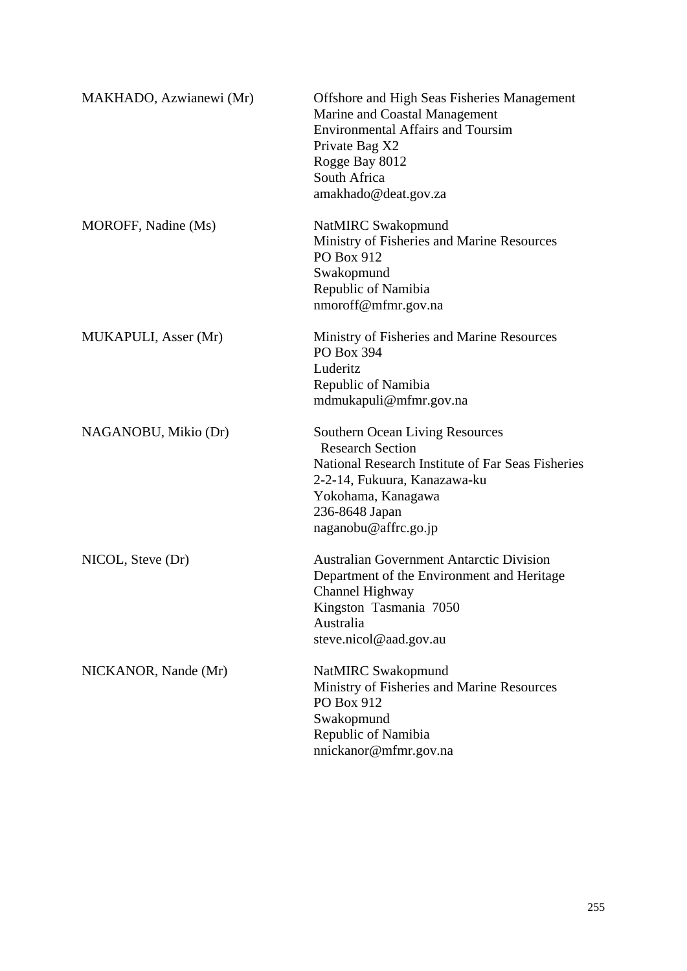| MAKHADO, Azwianewi (Mr) | <b>Offshore and High Seas Fisheries Management</b><br>Marine and Coastal Management<br><b>Environmental Affairs and Toursim</b><br>Private Bag X2<br>Rogge Bay 8012<br>South Africa<br>amakhado@deat.gov.za            |
|-------------------------|------------------------------------------------------------------------------------------------------------------------------------------------------------------------------------------------------------------------|
| MOROFF, Nadine (Ms)     | NatMIRC Swakopmund<br>Ministry of Fisheries and Marine Resources<br><b>PO Box 912</b><br>Swakopmund<br>Republic of Namibia<br>nmoroff@mfmr.gov.na                                                                      |
| MUKAPULI, Asser (Mr)    | Ministry of Fisheries and Marine Resources<br>PO Box 394<br>Luderitz<br>Republic of Namibia<br>mdmukapuli@mfmr.gov.na                                                                                                  |
| NAGANOBU, Mikio (Dr)    | <b>Southern Ocean Living Resources</b><br><b>Research Section</b><br>National Research Institute of Far Seas Fisheries<br>2-2-14, Fukuura, Kanazawa-ku<br>Yokohama, Kanagawa<br>236-8648 Japan<br>naganobu@affrc.go.jp |
| NICOL, Steve (Dr)       | <b>Australian Government Antarctic Division</b><br>Department of the Environment and Heritage<br>Channel Highway<br>Kingston Tasmania 7050<br>Australia<br>steve.nicol@aad.gov.au                                      |
| NICKANOR, Nande (Mr)    | NatMIRC Swakopmund<br>Ministry of Fisheries and Marine Resources<br>PO Box 912<br>Swakopmund<br>Republic of Namibia<br>nnickanor@mfmr.gov.na                                                                           |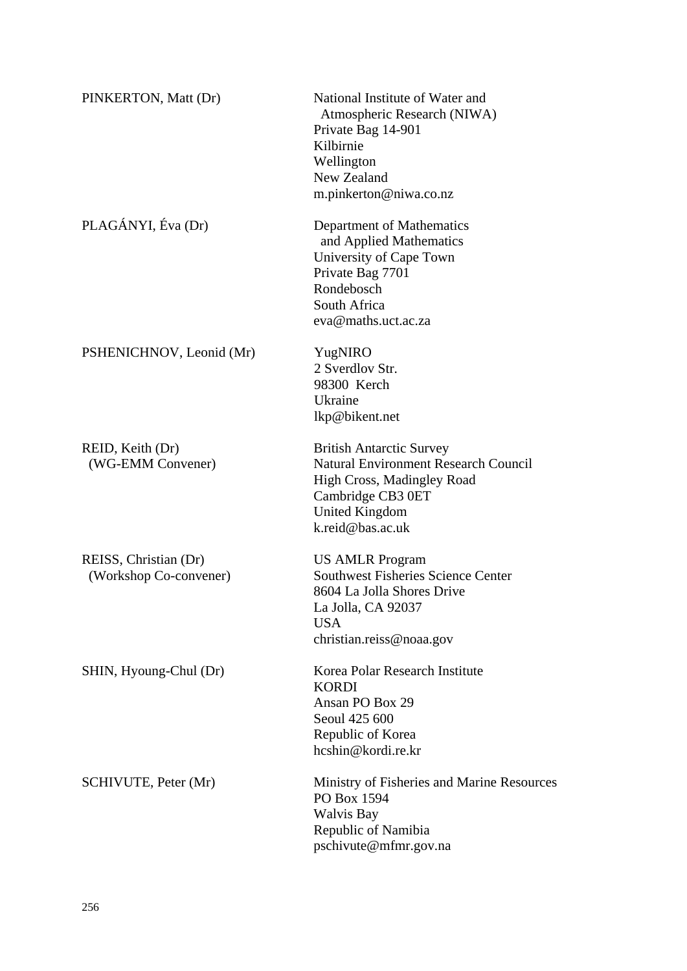| PINKERTON, Matt (Dr)                            | National Institute of Water and<br>Atmospheric Research (NIWA)<br>Private Bag 14-901<br>Kilbirnie<br>Wellington<br>New Zealand<br>m.pinkerton@niwa.co.nz                |
|-------------------------------------------------|-------------------------------------------------------------------------------------------------------------------------------------------------------------------------|
| PLAGÁNYI, Éva (Dr)                              | Department of Mathematics<br>and Applied Mathematics<br>University of Cape Town<br>Private Bag 7701<br>Rondebosch<br>South Africa<br>eva@maths.uct.ac.za                |
| PSHENICHNOV, Leonid (Mr)                        | YugNIRO<br>2 Sverdlov Str.<br>98300 Kerch<br>Ukraine<br>lkp@bikent.net                                                                                                  |
| REID, Keith (Dr)<br>(WG-EMM Convener)           | <b>British Antarctic Survey</b><br><b>Natural Environment Research Council</b><br>High Cross, Madingley Road<br>Cambridge CB3 0ET<br>United Kingdom<br>k.reid@bas.ac.uk |
| REISS, Christian (Dr)<br>(Workshop Co-convener) | <b>US AMLR Program</b><br><b>Southwest Fisheries Science Center</b><br>8604 La Jolla Shores Drive<br>La Jolla, CA 92037<br><b>USA</b><br>christian.reiss@noaa.gov       |
| SHIN, Hyoung-Chul (Dr)                          | Korea Polar Research Institute<br><b>KORDI</b><br>Ansan PO Box 29<br>Seoul 425 600<br>Republic of Korea<br>hcshin@kordi.re.kr                                           |
| <b>SCHIVUTE, Peter (Mr)</b>                     | Ministry of Fisheries and Marine Resources<br>PO Box 1594<br><b>Walvis Bay</b><br>Republic of Namibia<br>pschivute@mfmr.gov.na                                          |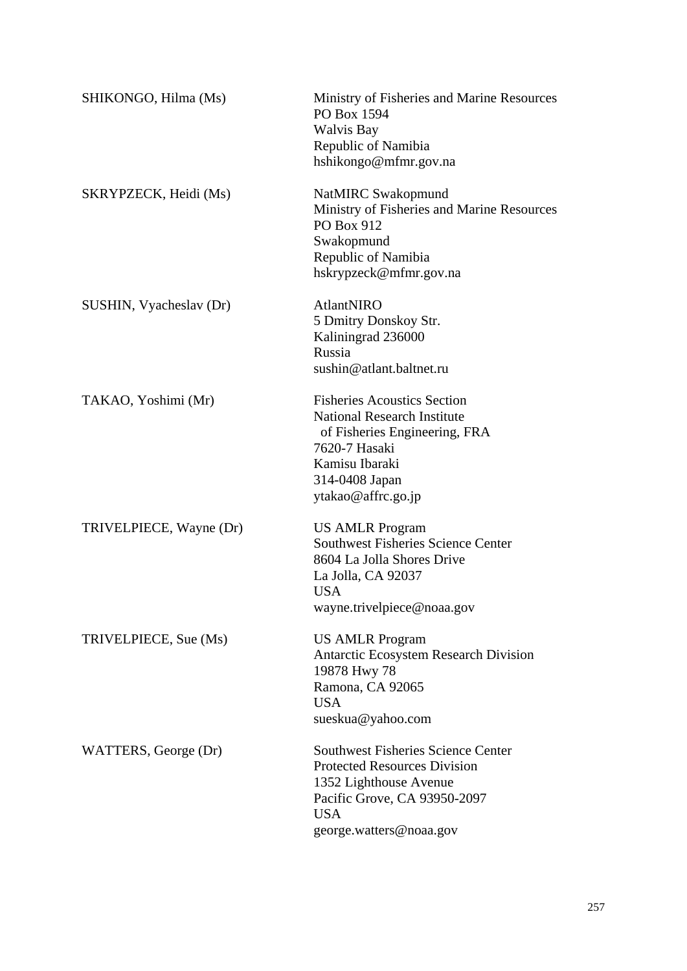| SHIKONGO, Hilma (Ms)    | Ministry of Fisheries and Marine Resources<br>PO Box 1594<br><b>Walvis Bay</b><br>Republic of Namibia<br>hshikongo@mfmr.gov.na                                                       |
|-------------------------|--------------------------------------------------------------------------------------------------------------------------------------------------------------------------------------|
| SKRYPZECK, Heidi (Ms)   | NatMIRC Swakopmund<br>Ministry of Fisheries and Marine Resources<br>PO Box 912<br>Swakopmund<br>Republic of Namibia<br>hskrypzeck@mfmr.gov.na                                        |
| SUSHIN, Vyacheslav (Dr) | AtlantNIRO<br>5 Dmitry Donskoy Str.<br>Kaliningrad 236000<br>Russia<br>sushin@atlant.baltnet.ru                                                                                      |
| TAKAO, Yoshimi (Mr)     | <b>Fisheries Acoustics Section</b><br><b>National Research Institute</b><br>of Fisheries Engineering, FRA<br>7620-7 Hasaki<br>Kamisu Ibaraki<br>314-0408 Japan<br>ytakao@affrc.go.jp |
| TRIVELPIECE, Wayne (Dr) | <b>US AMLR Program</b><br><b>Southwest Fisheries Science Center</b><br>8604 La Jolla Shores Drive<br>La Jolla, CA 92037<br><b>USA</b><br>wayne.trivelpiece@noaa.gov                  |
| TRIVELPIECE, Sue (Ms)   | <b>US AMLR Program</b><br><b>Antarctic Ecosystem Research Division</b><br>19878 Hwy 78<br>Ramona, CA 92065<br><b>USA</b><br>sueskua@yahoo.com                                        |
| WATTERS, George (Dr)    | <b>Southwest Fisheries Science Center</b><br><b>Protected Resources Division</b><br>1352 Lighthouse Avenue<br>Pacific Grove, CA 93950-2097<br><b>USA</b><br>george.watters@noaa.gov  |